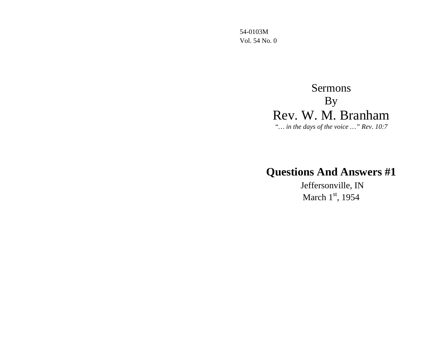54-0103M Vol. 54 No. 0

> Sermons By Rev. W. M. Branham *"… in the days of the voice …" Rev. 10:7*

# **Questions And Answers #1**

Jeffersonville, IN March  $1<sup>st</sup>$ , 1954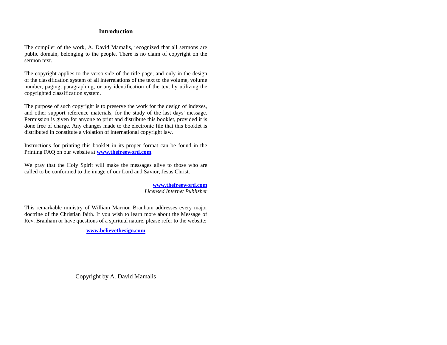### **Introduction**

The compiler of the work, A. David Mamalis, recognized that all sermons are public domain, belonging to the people. There is no claim of copyright on the sermon text.

The copyright applies to the verso side of the title page; and only in the design of the classification system of all interrelations of the text to the volume, volume number, paging, paragraphing, or any identification of the text by utilizing the copyrighted classification system.

The purpose of such copyright is to preserve the work for the design of indexes, and other support reference materials, for the study of the last days' message. Permission is given for anyone to print and distribute this booklet, provided it is done free of charge. Any changes made to the electronic file that this booklet is distributed in constitute a violation of international copyright law.

Instructions for printing this booklet in its proper format can be found in the Printing FAQ on our website at **www.thefreeword.com**.

We pray that the Holy Spirit will make the messages alive to those who are called to be conformed to the image of our Lord and Savior, Jesus Christ.

> **www.thefreeword.com** *Licensed Internet Publisher*

This remarkable ministry of William Marrion Branham addresses every major doctrine of the Christian faith. If you wish to learn more about the Message of Rev. Branham or have questions of a spiritual nature, please refer to the website:

**www.believethesign.com**

Copyright by A. David Mamalis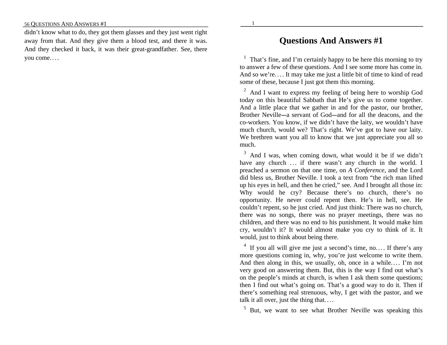didn't know what to do, they got them glasses and they just went right away from that. And they give them a blood test, and there it was. And they checked it back, it was their great-grandfather. See, there you come. . . .

# **Questions And Answers #1**

1

That's fine, and I'm certainly happy to be here this morning to try to answer a few of these questions. And I see some more has come in. And so we're.... It may take me just a little bit of time to kind of read some of these, because I just got them this morning.

<sup>2</sup> And I want to express my feeling of being here to worship God today on this beautiful Sabbath that He's give us to come together. And a little place that we gather in and for the pastor, our brother, Brother Neville--a servant of God---and for all the deacons, and the co-workers. You know, if we didn't have the laity, we wouldn't have much church, would we? That's right. We've got to have our laity. We brethren want you all to know that we just appreciate you all so much.

 $3$  And I was, when coming down, what would it be if we didn't have any church ... if there wasn't any church in the world. I preached a sermon on that one time, on *A Conference*, and the Lord did bless us, Brother Neville. I took a text from "the rich man lifted up his eyes in hell, and then he cried," see. And I brought all those in: Why would he cry? Because there's no church, there's no opportunity. He never could repent then. He's in hell, see. He couldn't repent, so he just cried. And just think: There was no church, there was no songs, there was no prayer meetings, there was no children, and there was no end to his punishment. It would make him cry, wouldn't it? It would almost make you cry to think of it. It would, just to think about being there.

<sup>4</sup> If you all will give me just a second's time, no.... If there's any more questions coming in, why, you're just welcome to write them. And then along in this, we usually, oh, once in a while.... I'm not very good on answering them. But, this is the way I find out what's on the people's minds at church, is when I ask them some questions; then I find out what's going on. That's a good way to do it. Then if there's something real strenuous, why, I get with the pastor, and we talk it all over, just the thing that....

<sup>5</sup> But, we want to see what Brother Neville was speaking this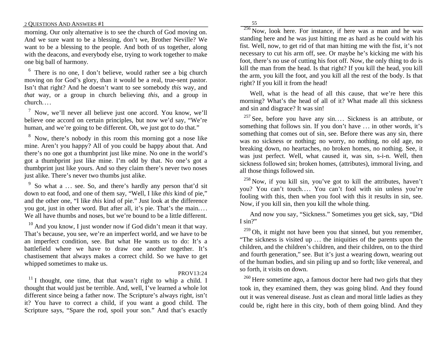morning. Our only alternative is to see the church of God moving on. And we sure want to be a blessing, don't we, Brother Neville? We want to be a blessing to the people. And both of us together, along with the deacons, and everybody else, trying to work together to make one big ball of harmony.

 $6$  There is no one, I don't believe, would rather see a big church moving on for God's glory, than it would be a real, true-sent pastor. Isn't that right? And he doesn't want to see somebody *this* way, and *that* way, or a group in church believing *this*, and a group in church. . . .

<sup>7</sup> Now, we'll never all believe just one accord. You know, we'll believe one accord on certain principles, but now we'd say, "We're human, and we're going to be different. Oh, we just got to do that."

<sup>8</sup> Now, there's nobody in this room this morning got a nose like mine. Aren't you happy? All of you could be happy about that. And there's no one got a thumbprint just like mine. No one in the world's got a thumbprint just like mine. I'm odd by that. No one's got a thumbprint just like yours. And so they claim there's never two noses just alike. There's never two thumbs just alike.

 $9^9$  So what a ... see. So, and there's hardly any person that'd sit down to eat food, and one of them say, "Well, I like *this* kind of pie," and the other one, "I like *this* kind of pie." Just look at the difference you got, just in other word. But after all, it's pie. That's the main. . . . We all have thumbs and noses, but we're bound to be a little different.

 $10$  And you know, I just wonder now if God didn't mean it that way. That's because, you see, we're an imperfect world, and we have to be an imperfect condition, see. But what He wants us to do: It's a battlefield where we have to draw one another together. It's chastisement that always makes a correct child. So we have to get whipped sometimes to make us.

# PROV13:24

 $11$  I thought, one time, that that wasn't right to whip a child. I thought that would just be terrible. And, well, I've learned a whole lot different since being a father now. The Scripture's always right, isn't it? You have to correct a child, if you want a good child. The Scripture says, "Spare the rod, spoil your son." And that's exactly 55

 $^{256}$  Now, look here. For instance, if here was a man and he was standing here and he was just hitting me as hard as he could with his fist. Well, now, to get rid of that man hitting me with the fist, it's not necessary to cut his arm off, see. Or maybe he's kicking me with his foot, there's no use of cutting his foot off. Now, the only thing to do is kill the man from the head. Is that right? If you kill the head, you kill the arm, you kill the foot, and you kill all the rest of the body. Is that right? If you kill it from the head!

Well, what is the head of all this cause, that we're here this morning? What's the head of all of it? What made all this sickness and sin and disgrace? It was sin!

 $257$  See, before you have any sin.... Sickness is an attribute, or something that follows sin. If you don't have ... in other words, it's something that comes out of sin, see. Before there was any sin, there was no sickness or nothing; no worry, no nothing, no old age, no breaking down, no heartaches, no broken homes, no nothing. See, it was just perfect. Well, what caused it, was sin, s-i-n. Well, then sickness followed sin; broken homes, (attributes), immoral living, and all those things followed sin.

 $258$  Now, if you kill sin, you've got to kill the attributes, haven't you? You can't touch.... You can't fool with sin unless you're fooling with this, then when you fool with this it results in sin, see. Now, if you kill sin, then you kill the whole thing.

And now you say, "Sickness." Sometimes you get sick, say, "Did I sin?"

 $259$  Oh, it might not have been you that sinned, but you remember, "The sickness is visited up  $\ldots$  the iniquities of the parents upon the children, and the children's children, and their children, on to the third and fourth generation," see. But it's just a wearing down, wearing out of the human bodies, and sin piling up and so forth; like venereal, and so forth, it visits on down.

 $^{260}$  Here sometime ago, a famous doctor here had two girls that they took in, they examined them, they was going blind. And they found out it was venereal disease. Just as clean and moral little ladies as they could be, right here in this city, both of them going blind. And they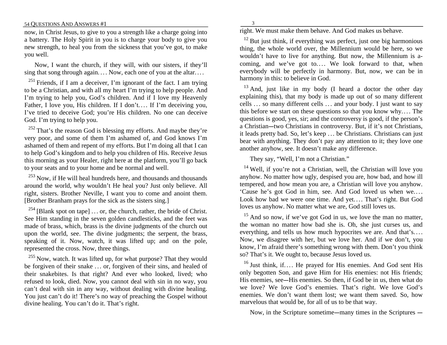now, in Christ Jesus, to give to you a strength like a charge going into a battery. The Holy Spirit in you is to charge your body to give you new strength, to heal you from the sickness that you've got, to make you well.

Now, I want the church, if they will, with our sisters, if they'll sing that song through again.... Now, each one of you at the altar....

<sup>251</sup> Friends, if I am a deceiver, I'm ignorant of the fact. I am trying to be a Christian, and with all my heart I'm trying to help people. And I'm trying to help you, God's children. And if I love my Heavenly Father, I love you, His children. If I don't.... If I'm deceiving you, I've tried to deceive God; you're His children. No one can deceive God. I'm trying to help you.

 $252$  That's the reason God is blessing my efforts. And maybe they're very poor, and some of them I'm ashamed of, and God knows I'm ashamed of them and repent of my efforts. But I'm doing all that I can to help God's kingdom and to help you children of His. Receive Jesus this morning as your Healer, right here at the platform, you'll go back to your seats and to your home and be normal and well.

 $^{253}$  Now, if He will heal hundreds here, and thousands and thousands around the world, why wouldn't He heal you? Just only believe. All right, sisters. Brother Neville, I want you to come and anoint them. [Brother Branham prays for the sick as the sisters sing.]

<sup>254</sup> [Blank spot on tape]  $\dots$  or, the church, rather, the bride of Christ. See Him standing in the seven golden candlesticks, and the feet was made of brass, which, brass is the divine judgments of the church out upon the world, see. The divine judgments; the serpent, the brass, speaking of it. Now, watch, it was lifted up; and on the pole, represented the cross. Now, three things.

 $^{255}$  Now, watch. It was lifted up, for what purpose? That they would be forgiven of their snake ... or, forgiven of their sins, and healed of their snakebites. Is that right? And ever who looked, lived; who refused to look, died. Now, you cannot deal with sin in no way, you can't deal with sin in any way, without dealing with divine healing. You just can't do it! There's no way of preaching the Gospel without divine healing. You can't do it. That's right.

right. We must make them behave. And God makes us behave.

3

 $12$  But just think, if everything was perfect, just one big harmonious thing, the whole world over, the Millennium would be here, so we wouldn't have to live for anything. But now, the Millennium is acoming, and we've got to.... We look forward to that, when everybody will be perfectly in harmony. But, now, we can be in harmony in this: to believe in God.

<sup>13</sup> And, just like in my body (I heard a doctor the other day explaining this), that my body is made up out of so many different cells ... so many different cells ... and your body. I just want to say this before we start on these questions so that you know why.... The questions is good, yes, sir; and the controversy is good, if the person's a Christian---two Christians in controversy. But, if it's not Christians, it leads pretty bad. So, let's keep . . . be Christians. Christians can just bear with anything. They don't pay any attention to it; they love one another anyhow, see. It doesn't make any difference.

They say, "Well, I'm not a Christian."

 $14$  Well, if you're not a Christian, well, the Christian will love you anyhow. No matter how ugly, despised you are, how bad, and how ill tempered, and how mean you are, a Christian will love you anyhow. 'Cause he's got God in him, see. And God loved us when we.. . . Look how bad we were one time. And yet.... That's right. But God loves us anyhow. No matter what we are, God still loves us.

 $15$  And so now, if we've got God in us, we love the man no matter, the woman no matter how bad she is. Oh, she just curses us, and everything, and tells us how much hypocrites we are. And that's.... Now, we disagree with her, but we love her. And if we don't, you know, I'm afraid there's something wrong with them. Don't you think so? That's it. We ought to, because Jesus loved us.

 $16$  Just think, if.... He prayed for His enemies. And God sent His only begotten Son, and gave Him for His enemies: not His friends; His enemies, see-His enemies. So then, if God be in us, then what do we love? We love God's enemies. That's right. We love God's enemies. We don't want them lost; we want them saved. So, how marvelous that would be, for all of us to be that way.

Now, in the Scripture sometime—many times in the Scriptures —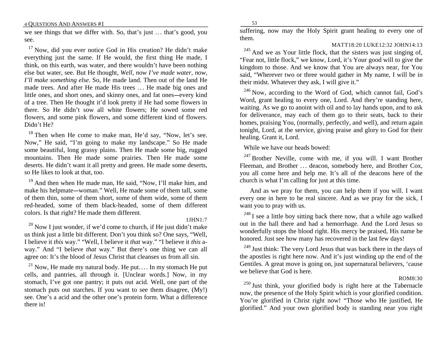we see things that we differ with. So, that's just ... that's good, you see.

 $17$  Now, did you ever notice God in His creation? He didn't make everything just the same. If He would, the first thing He made, I think, on this earth, was water, and there wouldn't have been nothing else but water, see. But He thought, *Well, now I've made water, now, I'll make something else*. So, He made land. Then out of the land He made trees. And after He made His trees . . . He made big ones and little ones, and short ones, and skinny ones, and fat ones--every kind of a tree. Then He thought it'd look pretty if He had some flowers in there. So He didn't sow all white flowers; He sowed some red flowers, and some pink flowers, and some different kind of flowers. Didn't He?

 $18$  Then when He come to make man, He'd say, "Now, let's see. Now," He said, "I'm going to make my landscape." So He made some beautiful, long grassy plains. Then He made some big, rugged mountains. Then He made some prairies. Then He made some deserts. He didn't want it all pretty and green. He made some deserts, so He likes to look at that, too.

 $19$  And then when He made man, He said, "Now, I'll make him, and make his helpmate--woman." Well, He made some of them tall, some of them thin, some of them short, some of them wide, some of them red-headed, some of them black-headed, some of them different colors. Is that right? He made them different.

# $1$ HN $1.7$

 $^{20}$  Now I just wonder, if we'd come to church, if He just didn't make us think just a little bit different. Don't you think so? One says, "Well, I believe it *this* way." "Well, I believe it *that* way." "I believe it *this* away." And "I believe *that* way." But there's one thing we can all agree on: It's the blood of Jesus Christ that cleanses us from all sin.

 $^{21}$  Now, He made my natural body. He put.... In my stomach He put cells, and pantries, all through it. [Unclear words.] Now, in my stomach, I've got one pantry; it puts out acid. Well, one part of the stomach puts out starches. If you want to see them disagree, (My!) see. One's a acid and the other one's protein form. What a difference there is!

suffering, now may the Holy Spirit grant healing to every one of them.

MATT18:20 LUKE12:32 JOHN14:13

 $245$  And we as Your little flock, that the sisters was just singing of, "Fear not, little flock," we know, Lord, it's Your good will to give the kingdom to those. And we know that You are always near, for You said, "Wherever two or three would gather in My name, I will be in their midst. Whatever they ask, I will give it."

 $246$  Now, according to the Word of God, which cannot fail, God's Word, grant healing to every one, Lord. And they're standing here, waiting. As we go to anoint with oil and to lay hands upon, and to ask for deliverance, may each of them go to their seats, back to their homes, praising You, (normally, perfectly, and well), and return again tonight, Lord, at the service, giving praise and glory to God for their healing. Grant it, Lord.

While we have our heads bowed:

 $247$  Brother Neville, come with me, if you will. I want Brother Fleeman, and Brother ... deacon, somebody here, and Brother Cox, you all come here and help me. It's all of the deacons here of the church is what I'm calling for just at this time.

And as we pray for them, you can help them if you will. I want every one in here to be real sincere. And as we pray for the sick, I want you to pray with us.

 $^{248}$  I see a little boy sitting back there now, that a while ago walked out in the hall there and had a hemorrhage. And the Lord Jesus so wonderfully stops the blood right. His mercy be praised, His name be honored. Just see how many has recovered in the last few days!

 $^{249}$  Just think: The very Lord Jesus that was back there in the days of the apostles is right here now. And it's just winding up the end of the Gentiles. A great move is going on, just supernatural believers, 'cause we believe that God is here.

# ROM8:30

 $^{250}$  Just think, your glorified body is right here at the Tabernacle now, the presence of the Holy Spirit which is your glorified condition. You're glorified in Christ right now! "Those who He justified, He glorified." And your own glorified body is standing near you right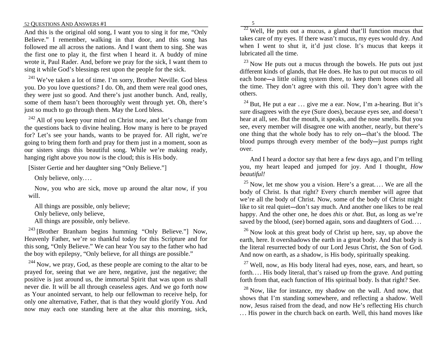And this is the original old song, I want you to sing it for me, "Only Believe." I remember, walking in that door, and this song has followed me all across the nations. And I want them to sing. She was the first one to play it, the first when I heard it. A buddy of mine wrote it, Paul Rader. And, before we pray for the sick, I want them to sing it while God's blessings rest upon the people for the sick.

 $241$  We've taken a lot of time. I'm sorry, Brother Neville. God bless you. Do you love questions? I do. Oh, and them were real good ones, they were just so good. And there's just another bunch. And, really, some of them hasn't been thoroughly went through yet. Oh, there's just so much to go through them. May the Lord bless.

 $242$  All of you keep your mind on Christ now, and let's change from the questions back to divine healing. How many is here to be prayed for? Let's see your hands, wants to be prayed for. All right, we're going to bring them forth and pray for them just in a moment, soon as our sisters sings this beautiful song. While we're making ready, hanging right above you now is the cloud; this is His body.

[Sister Gertie and her daughter sing "Only Believe."]

Only believe, only....

Now, you who are sick, move up around the altar now, if you will.

All things are possible, only believe;

Only believe, only believe,

All things are possible, only believe.

 $243$  [Brother Branham begins humming "Only Believe."] Now, Heavenly Father, we're so thankful today for this Scripture and for this song, "Only Believe." We can hear You say to the father who had the boy with epilepsy, "Only believe, for all things are possible."

 $244$  Now, we pray, God, as these people are coming to the altar to be prayed for, seeing that we are here, negative, just the negative; the positive is just around us, the immortal Spirit that was upon us shall never die. It will be all through ceaseless ages. And we go forth now as Your anointed servant, to help our fellowman to receive help, for only one alternative, Father, that is that they would glorify You. And now may each one standing here at the altar this morning, sick,

 $^{22}$  Well, He puts out a mucus, a gland that'll function mucus that takes care of my eyes. If there wasn't mucus, my eyes would dry. And when I went to shut it, it'd just close. It's mucus that keeps it lubricated all the time.

5

 $^{23}$  Now He puts out a mucus through the bowels. He puts out just different kinds of glands, that He does. He has to put out mucus to oil each bone--a little oiling system there, to keep them bones oiled all the time. They don't agree with this oil. They don't agree with the others.

<sup>24</sup> But, He put a ear  $\ldots$  give me a ear. Now, I'm a-hearing. But it's sure disagrees with the eye (Sure does), because eyes see, and doesn't hear at all, see. But the mouth, it speaks, and the nose smells. But you see, every member will disagree one with another, nearly, but there's one thing that the whole body has to rely on—that's the blood. The blood pumps through every member of the body--just pumps right over.

And I heard a doctor say that here a few days ago, and I'm telling you, my heart leaped and jumped for joy. And I thought, *How beautiful!*

<sup>25</sup> Now, let me show you a vision. Here's a great.... We are all the body of Christ. Is that right? Every church member will agree that we're all the body of Christ. Now, some of the body of Christ might like to sit real quiet---don't say much. And another one likes to be real happy. And the other one, he does *this* or *that*. But, as long as we're saved by the blood, (see) borned again, sons and daughters of God....

 $26$  Now look at this great body of Christ up here, say, up above the earth, here. It overshadows the earth in a great body. And that body is the literal resurrected body of our Lord Jesus Christ, the Son of God. And now on earth, as a shadow, is His body, spiritually speaking.

 $27$  Well, now, as His body literal had eyes, nose, ears, and heart, so forth.... His body literal, that's raised up from the grave. And putting forth from that, each function of His spiritual body. Is that right? See.

 $28$  Now, like for instance, my shadow on the wall. And now, that shows that I'm standing somewhere, and reflecting a shadow. Well now, Jesus raised from the dead, and now He's reflecting His church ... His power in the church back on earth. Well, this hand moves like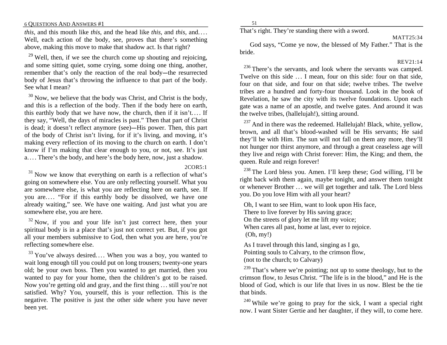*this*, and this mouth like *this*, and the head like *this*, and *this*, and. . . . Well, each action of the body, see, proves that there's something above, making this move to make that shadow act. Is that right?

 $^{29}$  Well, then, if we see the church come up shouting and rejoicing, and some sitting quiet, some crying, some doing one thing, another, remember that's only the reaction of the real body---the resurrected body of Jesus that's throwing the influence to that part of the body. See what I mean?

 $30$  Now, we believe that the body was Christ, and Christ is the body, and this is a reflection of the body. Then if the body here on earth, this earthly body that we have now, the church, then if it isn't.... If they say, "Well, the days of miracles is past." Then that part of Christ is dead; it doesn't reflect anymore (see)—His power. Then, this part of the body of Christ isn't living, for if it's living, and moving, it's making every reflection of its moving to the church on earth. I don't know if I'm making that clear enough to you, or not, see. It's just a. . . . There's the body, and here's the body here, now, just a shadow.

2COR5:1

 $31$  Now we know that everything on earth is a reflection of what's going on somewhere else. You are only reflecting yourself. What you are somewhere else, is what you are reflecting here on earth, see. If you are.... "For if this earthly body be dissolved, we have one already waiting," see. We have one waiting. And just what you are somewhere else, you are here.

 $32$  Now, if you and your life isn't just correct here, then your spiritual body is in a place that's just not correct yet. But, if you got all your members submissive to God, then what you are here, you're reflecting somewhere else.

 $33$  You've always desired.... When you was a boy, you wanted to wait long enough till you could put on long trousers; twenty-one years old; be your own boss. Then you wanted to get married, then you wanted to pay for your home, then the children's got to be raised. Now you're getting old and gray, and the first thing . . . still you're not satisfied. Why? You, yourself, this is your reflection. This is the negative. The positive is just the other side where you have never been yet.

51

That's right. They're standing there with a sword.

God says, "Come ye now, the blessed of My Father." That is the bride.

REV21:14

MATT25:34

<sup>236</sup> There's the servants, and look where the servants was camped. Twelve on this side ... I mean, four on this side: four on that side, four on that side, and four on that side; twelve tribes. The twelve tribes are a hundred and forty-four thousand. Look in the book of Revelation, he saw the city with its twelve foundations. Upon each gate was a name of an apostle, and twelve gates. And around it was the twelve tribes, (hallelujah!), sitting around.

 $^{237}$  And in there was the redeemed. Hallelujah! Black, white, yellow, brown, and all that's blood-washed will be His servants; He said they'll be with Him. The sun will not fall on them any more, they'll not hunger nor thirst anymore, and through a great ceaseless age will they live and reign with Christ forever: Him, the King; and them, the queen. Rule and reign forever!

 $^{238}$  The Lord bless you. Amen. I'll keep these; God willing, I'll be right back with them again, maybe tonight, and answer them tonight or whenever Brother ... we will get together and talk. The Lord bless you. Do you love Him with all your heart?

Oh, I want to see Him, want to look upon His face, There to live forever by His saving grace; On the streets of glory let me lift my voice; When cares all past, home at last, ever to rejoice. (Oh, my!)

As I travel through this land, singing as I go, Pointing souls to Calvary, to the crimson flow, (not to the church; to Calvary)

 $^{239}$  That's where we're pointing; not up to some theology, but to the crimson flow, to Jesus Christ. "The life is in the blood," and He is the blood of God, which is our life that lives in us now. Blest be the tie that binds.

 $240$  While we're going to pray for the sick, I want a special right now. I want Sister Gertie and her daughter, if they will, to come here.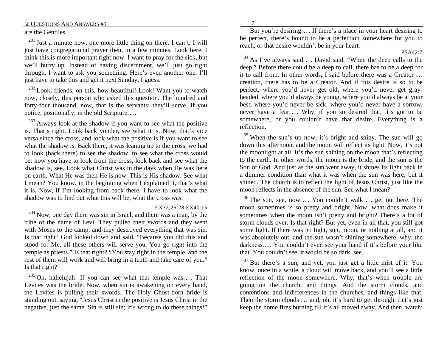are the Gentiles.

 $231$  Just a minute now, one more little thing on there. I can't. I will just have congregational prayer then, in a few minutes. Look here, I think this is more important right now. I want to pray for the sick, but we'll hurry up. Instead of having discernment, we'll just go right through. I want to ask you something. Here's even another one. I'll just have to take this and get it next Sunday, I guess.

 $232$  Look, friends, on this, how beautiful! Look! Want you to watch now, closely, this person who asked this question. The hundred and forty-four thousand, now, that is the servants; they'll serve. If you notice, positionally, in the old Scripture. . . .

 $233$  Always look at the shadow if you want to see what the positive is. That's right. Look back yonder, see what it is. Now, that's vice versa since the cross, and look what the positive is if you want to see what the shadow is. Back there, it was leaning up to the cross, we had to look (back there) to see the shadow, to see what the cross would be; now you have to look from the cross, look back and see what the shadow is, see. Look what Christ was in the days when He was here on earth. What He was then He is now. This is His shadow. See what I mean? You know, in the beginning when I explained it, that's what it is. Now, if I'm looking from back there, I have to look what the shadow was to find out what this will be, what the cross was.

# EX32:26-28 EX40:15

 $234$  Now, one day there was sin in Israel, and there was a man, by the tribe of the name of Levi. They pulled their swords and they went with Moses to the camp, and they destroyed everything that was sin. Is that right? God looked down and said, "Because you did this and stood for Me, all these others will serve you. You go right into the temple as priests." Is that right? "You stay right in the temple, and the rest of them will work and will bring in a tenth and take care of you." Is that right?

 $^{235}$  Oh, hallelujah! If you can see what that temple was.... That Levites was the bride. Now, when sin is awakening on every hand, the Levites is pulling their swords. The Holy Ghost-born bride is standing out, saying, "Jesus Christ in the positive is Jesus Christ in the negative, just the same. Sin is still sin; it's wrong to do these things!"

But you're desiring.... If there's a place in your heart desiring to be perfect, there's bound to be a perfection somewhere for you to reach, or that desire wouldn't be in your heart.

# PSA42:7

 $34$  As I've always said.... David said, "When the deep calls to the deep." Before there could be a deep to call, there has to be a deep for it to call from. In other words, I said before there was a Creator . . . creation, there has to be a Creator. And if this desire is so to be perfect, where you'd never get old, where you'd never get grayheaded, where you'd always be young, where you'd always be at your best, where you'd never be sick, where you'd never have a sorrow, never have a fear.... Why, if you so desired that, it's got to be somewhere, or you couldn't have that desire. Everything is a reflection.

 $35$  When the sun's up now, it's bright and shiny. The sun will go down this afternoon, and the moon will reflect its light. Now, it's not the moonlight at all. It's the sun shining on the moon that's reflecting to the earth. In other words, the moon is the bride, and the sun is the Son of God. And just as the sun went away, it shines its light back in a dimmer condition than what it was when the sun was here; but it shined. The church is to reflect the light of Jesus Christ, just like the moon reflects in the absence of the sun. See what I mean?

 $36$  The sun, see, now.... You couldn't walk ... get out here. The moon sometimes is so pretty and bright. Now, what does make it sometimes when the moon isn't pretty and bright? There's a lot of storm clouds over. Is that right? But yet, even in all that, you still got some light. If there was no light, sun, moon, or nothing at all, and it was absolutely out, and the sun wasn't shining somewhere, why, the darkness.... You couldn't even see your hand if it's before your like that. You couldn't see, it would be so dark, see.

 $37$  But there's a sun, and yet, you just get a little mist of it. You know, once in a while, a cloud will move back, and you'll see a little reflection of the moon somewhere. Why, that's when trouble are going on the church, and things. And the storm clouds, and contentions and indifferences in the churches, and things like that. Then the storm clouds ... and, oh, it's hard to get through. Let's just keep the home fires burning till it's all moved away. And then, watch:

7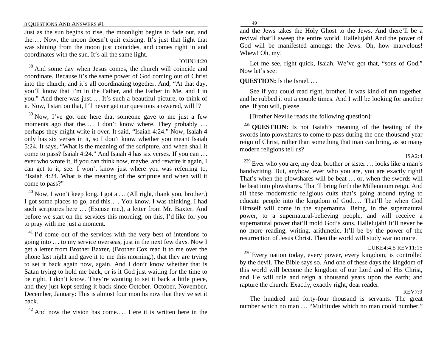Just as the sun begins to rise, the moonlight begins to fade out, and the. . . . Now, the moon doesn't quit existing. It's just that light that was shining from the moon just coincides, and comes right in and coordinates with the sun. It's all the same light.

<sup>38</sup> And some day when Jesus comes, the church will coincide and coordinate. Because it's the same power of God coming out of Christ into the church, and it's all coordinating together. And, "At that day, you'll know that I'm in the Father, and the Father in Me, and I in you." And there was just.... It's such a beautiful picture, to think of it. Now, I start on that, I'll never get our questions answered, will I?

 $39$  Now, I've got one here that someone gave to me just a few moments ago that the.... I don't know where. They probably ... perhaps they might write it over. It said, "Isaiah 4:24." Now, Isaiah 4 only has six verses in it, so I don't know whether you meant Isaiah 5:24. It says, "What is the meaning of the scripture, and when shall it come to pass? Isaiah 4:24." And Isaiah 4 has six verses. If you can . . . ever who wrote it, if you can think now, maybe, and rewrite it again, I can get to it, see. I won't know just where you was referring to, "Isaiah 4:24. What is the meaning of the scripture and when will it come to pass?"

 $^{40}$  Now, I won't keep long. I got a ... (All right, thank you, brother.) I got some places to go, and this.... You know, I was thinking, I had such scriptures here ... (Excuse me.), a letter from Mr. Baxter. And before we start on the services this morning, on this, I'd like for you to pray with me just a moment.

 $^{41}$  I'd come out of the services with the very best of intentions to going into . . . to my service overseas, just in the next few days. Now I get a letter from Brother Baxter, (Brother Cox read it to me over the phone last night and gave it to me this morning.), that they are trying to set it back again now, again. And I don't know whether that is Satan trying to hold me back, or is it God just waiting for the time to be right. I don't know. They're wanting to set it back a little piece, and they just kept setting it back since October. October, November, December, January: This is almost four months now that they've set it back.

 $42$  And now the vision has come.... Here it is written here in the

and the Jews takes the Holy Ghost to the Jews. And there'll be a revival that'll sweep the entire world. Hallelujah! And the power of God will be manifested amongst the Jews. Oh, how marvelous! Whew! Oh, my!

Let me see, right quick, Isaiah. We've got that, "sons of God." Now let's see:

# **QUESTION:** Is the Israel....

See if you could read right, brother. It was kind of run together, and he rubbed it out a couple times. And I will be looking for another one. If you will, please.

[Brother Neville reads the following question]:

<sup>228</sup> **QUESTION:** Is not Isaiah's meaning of the beating of the swords into plowshares to come to pass during the one-thousand-year reign of Christ, rather than something that man can bring, as so many modern religions tell us?

ISA2:4

 $^{229}$  Ever who you are, my dear brother or sister ... looks like a man's handwriting. But, anyhow, ever who you are, you are exactly right! That's when the plowshares will be beat ... or, when the swords will be beat into plowshares. That'll bring forth the Millennium reign. And all these modernistic religious cults that's going around trying to educate people into the kingdom of God.... That'll be when God Himself will come in the supernatural Being, in the supernatural power, to a supernatural-believing people, and will receive a supernatural power that'll mold God's sons. Hallelujah! It'll never be no more reading, writing, arithmetic. It'll be by the power of the resurrection of Jesus Christ. Then the world will study war no more.

# LUKE4:4,5 REV11:15

 $^{230}$  Every nation today, every power, every kingdom, is controlled by the devil. The Bible says so. And one of these days the kingdom of this world will become the kingdom of our Lord and of His Christ, and He will rule and reign a thousand years upon the earth; and rapture the church. Exactly, exactly right, dear reader.

REV7:9 The hundred and forty-four thousand is servants. The great number which no man ... "Multitudes which no man could number,"

JOHN14:20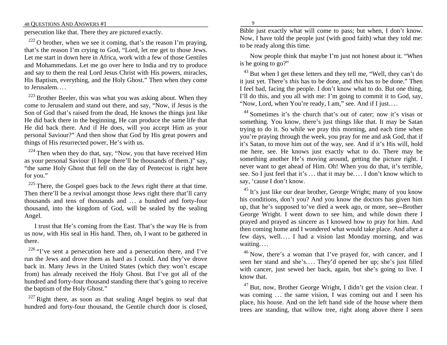persecution like that. There they are pictured exactly.

<sup>222</sup> O brother, when we see it coming, that's the reason I'm praying, that's the reason I'm crying to God, "Lord, let me get to those Jews. Let me start in down here in Africa, work with a few of those Gentiles and Mohammedans. Let me go over here to India and try to produce and say to them the real Lord Jesus Christ with His powers, miracles, His Baptism, everything, and the Holy Ghost." Then when they come to Jerusalem. . . .

 $223$  Brother Beeler, this was what you was asking about. When they come to Jerusalem and stand out there, and say, "Now, if Jesus is the Son of God that's raised from the dead, He knows the things just like He did back there in the beginning, He can produce the same life that He did back there. And if He does, will you accept Him as your personal Saviour?" And then show that God by His great powers and things of His resurrected power, He's with us.

 $224$  Then when they do that, say, "Now, you that have received Him as your personal Saviour (I hope there'll be thousands of them.)" say, "the same Holy Ghost that fell on the day of Pentecost is right here for you."

 $225$  There, the Gospel goes back to the Jews right there at that time. Then there'll be a revival amongst those Jews right there that'll carry thousands and tens of thousands and . . . a hundred and forty-four thousand, into the kingdom of God, will be sealed by the sealing Angel.

I trust that He's coming from the East. That's the way He is from us now, with His seal in His hand. Then, oh, I want to be gathered in there.

 $226$  "I've sent a persecution here and a persecution there, and I've run the Jews and drove them as hard as I could. And they've drove back in. Many Jews in the United States (which they won't escape from) has already received the Holy Ghost. But I've got all of the hundred and forty-four thousand standing there that's going to receive the baptism of the Holy Ghost."

 $227$  Right there, as soon as that sealing Angel begins to seal that hundred and forty-four thousand, the Gentile church door is closed,

Bible just exactly what will come to pass; but when, I don't know. Now, I have told the people just (with good faith) what they told me: to be ready along this time.

Now people think that maybe I'm just not honest about it. "When is he going to go?"

 $43$  But when I get these letters and they tell me, "Well, they can't do it just yet. There's *this* has to be done, and *this* has to be done." Then I feel bad, facing the people. I don't know what to do. But one thing, I'll do this, and you all with me: I'm going to commit it to God, say, "Now, Lord, when You're ready, I am," see. And if I just....

<sup>44</sup> Sometimes it's the church that's out of cater; now it's visas or something. You know, there's just things like that. It may be Satan trying to do it. So while we pray this morning, and each time when you're praying through the week, you pray for me and ask God, that if it's Satan, to move him out of the way, see. And if it's His will, hold me here, see. He knows just exactly what to do. There may be something another He's moving around, getting the picture right. I never want to get ahead of Him. Oh! When you do that, it's terrible, see. So I just feel that it's ... that it may be.... I don't know which to say, 'cause I don't know.

<sup>45</sup> It's just like our dear brother, George Wright; many of you know his conditions, don't you? And you know the doctors has given him up, that he's supposed to've died a week ago, or more, see—Brother George Wright. I went down to see him, and while down there I prayed and prayed as sincere as I knowed how to pray for him. And then coming home and I wondered what would take place. And after a few days, well.... I had a vision last Monday morning, and was waiting....

 $^{46}$  Now, there's a woman that I've prayed for, with cancer, and I seen her stand and she's.... They'd opened her up; she's just filled with cancer, just sewed her back, again, but she's going to live. I know that.

 $47$  But, now, Brother George Wright, I didn't get the vision clear. I was coming ... the same vision, I was coming out and I seen his place, his house. And on the left hand side of the house where them trees are standing, that willow tree, right along above there I seen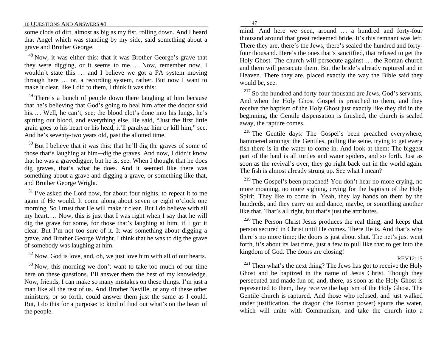some clods of dirt, almost as big as my fist, rolling down. And I heard that Angel which was standing by my side, said something about a grave and Brother George.

<sup>48</sup> Now, it was either this: that it was Brother George's grave that they were digging, or it seems to me.... Now, remember now, I wouldn't state this ... and I believe we got a PA system moving through here  $\dots$  or, a recording system, rather. But now I want to make it clear, like I did to them, I think it was this:

<sup>49</sup> There's a bunch of people down there laughing at him because that he's believing that God's going to heal him after the doctor said his.... Well, he can't, see; the blood clot's done into his lungs, he's spitting out blood, and everything else. He said, "Just the first little grain goes to his heart or his head, it'll paralyze him or kill him," see. And he's seventy-two years old, past the allotted time.

 $50$  But I believe that it was this: that he'll dig the graves of some of those that's laughing at him--dig the graves. And now, I didn't know that he was a gravedigger, but he is, see. When I thought that he does dig graves, that's what he does. And it seemed like there was something about a grave and digging a grave, or something like that, and Brother George Wright.

 $<sup>51</sup>$  I've asked the Lord now, for about four nights, to repeat it to me</sup> again if He would. It come along about seven or eight o'clock one morning. So I trust that He will make it clear. But I do believe with all my heart.... Now, this is just that I was right when I say that he will dig the grave for some, for those that's laughing at him, if I got it clear. But I'm not too sure of it. It was something about digging a grave, and Brother George Wright. I think that he was to dig the grave of somebody was laughing at him.

 $52$  Now, God is love, and, oh, we just love him with all of our hearts.

 $53$  Now, this morning we don't want to take too much of our time here on these questions. I'll answer them the best of my knowledge. Now, friends, I can make so many mistakes on these things. I'm just a man like all the rest of us. And Brother Neville, or any of these other ministers, or so forth, could answer them just the same as I could. But, I do this for a purpose: to kind of find out what's on the heart of the people.

47

mind. And here we seen, around ... a hundred and forty-four thousand around that great redeemed bride. It's this remnant was left. There they are, there's the Jews, there's sealed the hundred and fortyfour thousand. Here's the ones that's sanctified, that refused to get the Holy Ghost. The church will persecute against . . . the Roman church and them will persecute them. But the bride's already raptured and in Heaven. There they are, placed exactly the way the Bible said they would be, see.

<sup>217</sup> So the hundred and forty-four thousand are Jews, God's servants. And when the Holy Ghost Gospel is preached to them, and they receive the baptism of the Holy Ghost just exactly like they did in the beginning, the Gentile dispensation is finished, the church is sealed away, the rapture comes.

<sup>218</sup> The Gentile days: The Gospel's been preached everywhere, hammered amongst the Gentiles, pulling the seine, trying to get every fish there is in the water to come in. And look at them: The biggest part of the haul is all turtles and water spiders, and so forth. Just as soon as the revival's over, they go right back out in the world again. The fish is almost already strung up. See what I mean?

<sup>219</sup> The Gospel's been preached! You don't hear no more crying, no more moaning, no more sighing, crying for the baptism of the Holy Spirit. They like to come in. Yeah, they lay hands on them by the hundreds, and they carry on and dance, maybe, or something another like that. That's all right, but that's just the attributes.

 $220$  The Person Christ Jesus produces the real thing, and keeps that person secured in Christ until He comes. There He is. And that's why there's no more time; the doors is just about shut. The net's just went forth, it's about its last time, just a few to pull like that to get into the kingdom of God. The doors are closing!

### REV12:15

 $^{221}$  Then what's the next thing? The Jews has got to receive the Holy Ghost and be baptized in the name of Jesus Christ. Though they persecuted and made fun of; and, there, as soon as the Holy Ghost is represented to them, they receive the baptism of the Holy Ghost. The Gentile church is raptured. And those who refused, and just walked under justification, the dragon (the Roman power) spurts the water, which will unite with Communism, and take the church into a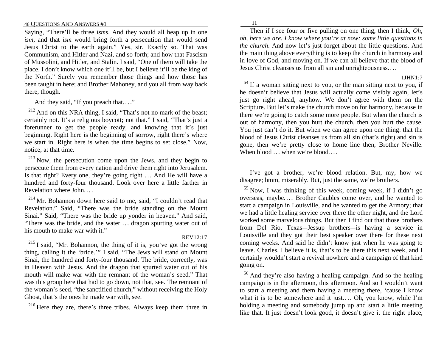Saying, "There'll be three *isms*. And they would all heap up in one *ism*, and that *ism* would bring forth a persecution that would send Jesus Christ to the earth again." Yes, sir. Exactly so. That was Communism, and Hitler and Nazi, and so forth; and how that Fascism of Mussolini, and Hitler, and Stalin. I said, "One of them will take the place. I don't know which one it'll be, but I believe it'll be the king of the North." Surely you remember those things and how those has been taught in here; and Brother Mahoney, and you all from way back there, though.

And they said, "If you preach that...."

 $212$  And on this NRA thing, I said, "That's not no mark of the beast; certainly not. It's a religious boycott; not that." I said, "That's just a forerunner to get the people ready, and knowing that it's just beginning. Right here is the beginning of sorrow, right there's where we start in. Right here is when the time begins to set close." Now, notice, at that time.

 $213$  Now, the persecution come upon the Jews, and they begin to persecute them from every nation and drive them right into Jerusalem. Is that right? Every one, they're going right.... And He will have a hundred and forty-four thousand. Look over here a little farther in Revelation where John.. . .

 $214$  Mr. Bohannon down here said to me, said, "I couldn't read that Revelation." Said, "There was the bride standing on the Mount Sinai." Said, "There was the bride up yonder in heaven." And said, "There was the bride, and the water . . . dragon spurting water out of his mouth to make war with it."

# REV12:17

 $^{215}$  I said, "Mr. Bohannon, the thing of it is, you've got the wrong thing, calling it the 'bride.'" I said, "The Jews will stand on Mount Sinai, the hundred and forty-four thousand. The bride, correctly, was in Heaven with Jesus. And the dragon that spurted water out of his mouth will make war with the remnant of the woman's seed." That was this group here that had to go down, not that, see. The remnant of the woman's seed, "the sanctified church," without receiving the Holy Ghost, that's the ones he made war with, see.

<sup>216</sup> Here they are, there's three tribes. Always keep them three in

11

Then if I see four or five pulling on one thing, then I think, *Oh*, *oh, here we are*. *I know where you're at now: some little questions in the church*. And now let's just forget about the little questions. And the main thing above everything is to keep the church in harmony and in love of God, and moving on. If we can all believe that the blood of Jesus Christ cleanses us from all sin and unrighteousness. . . .

1JHN1:7

 $54$  If a woman sitting next to you, or the man sitting next to you, if he doesn't believe that Jesus will actually come visibly again, let's just go right ahead, anyhow. We don't agree with them on the Scripture. But let's make the church move on for harmony, because in there we're going to catch some more people. But when the church is out of harmony, then you hurt the church, then you hurt the cause. You just can't do it. But when we can agree upon one thing: that the blood of Jesus Christ cleanses us from all sin (that's right) and sin is gone, then we're pretty close to home line then, Brother Neville. When blood ... when we're blood....

I've got a brother, we're blood relation. But, my, how we disagree; hmm, miserably. But, just the same, we're brothers.

 $55$  Now, I was thinking of this week, coming week, if I didn't go overseas, maybe.... Brother Caubles come over, and he wanted to start a campaign in Louisville, and he wanted to get the Armory; that we had a little healing service over there the other night, and the Lord worked some marvelous things. But then I find out that those brothers from Del Rio, Texas--Jessup brothers--is having a service in Louisville and they got their best speaker over there for these next coming weeks. And said he didn't know just when he was going to leave. Charles, I believe it is, that's to be there this next week, and I certainly wouldn't start a revival nowhere and a campaign of that kind going on.

 $56$  And they're also having a healing campaign. And so the healing campaign is in the afternoon, this afternoon. And so I wouldn't want to start a meeting and them having a meeting there, 'cause I know what it is to be somewhere and it just.... Oh, you know, while  $\Gamma$ m holding a meeting and somebody jump up and start a little meeting like that. It just doesn't look good, it doesn't give it the right place,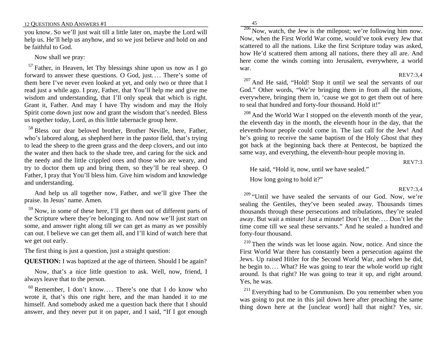you know. So we'll just wait till a little later on, maybe the Lord will help us. He'll help us anyhow, and so we just believe and hold on and be faithful to God.

Now shall we pray:

 $57$  Father, in Heaven, let Thy blessings shine upon us now as I go forward to answer these questions. O God, just.... There's some of them here I've never even looked at yet, and only two or three that I read just a while ago. I pray, Father, that You'll help me and give me wisdom and understanding, that I'll only speak that which is right. Grant it, Father. And may I have Thy wisdom and may the Holy Spirit come down just now and grant the wisdom that's needed. Bless us together today, Lord, as this little tabernacle group here.

<sup>58</sup> Bless our dear beloved brother, Brother Neville, here, Father, who's labored along, as shepherd here in the pastor field, that's trying to lead the sheep to the green grass and the deep clovers, and out into the water and then back to the shade tree, and caring for the sick and the needy and the little crippled ones and those who are weary, and try to doctor them up and bring them, so they'll be real sheep. O Father, I pray that You'll bless him. Give him wisdom and knowledge and understanding.

And help us all together now, Father, and we'll give Thee the praise. In Jesus' name. Amen.

 $59$  Now, in some of these here, I'll get them out of different parts of the Scripture where they're belonging to. And now we'll just start on some, and answer right along till we can get as many as we possibly can out. I believe we can get them all, and I'll kind of watch here that we get out early.

The first thing is just a question, just a straight question:

**QUESTION:** I was baptized at the age of thirteen. Should I be again?

Now, that's a nice little question to ask. Well, now, friend, I always leave that to the person.

 $60$  Remember, I don't know.... There's one that I do know who wrote it, that's this one right here, and the man handed it to me himself. And somebody asked me a question back there that I should answer, and they never put it on paper, and I said, "If I got enough 45

 $^{206}$  Now, watch, the Jew is the milepost; we're following him now. Now, when the First World War come, would've took every Jew that scattered to all the nations. Like the first Scripture today was asked, how He'd scattered them among all nations, there they all are. And here come the winds coming into Jerusalem, everywhere, a world war. REV7:3,4

 $207$  And He said, "Hold! Stop it until we seal the servants of our God." Other words, "We're bringing them in from all the nations, everywhere, bringing them in, 'cause we got to get them out of here to seal that hundred and forty-four thousand. Hold it!"

 $208$  And the World War I stopped on the eleventh month of the year, the eleventh day in the month, the eleventh hour in the day, that the eleventh-hour people could come in. The last call for the Jew! And he's going to receive the same baptism of the Holy Ghost that they got back at the beginning back there at Pentecost, be baptized the same way, and everything, the eleventh-hour people moving in.

REV7:3

He said, "Hold it, now, until we have sealed."

How long going to hold it?"

### REV7:3,4

 $209$  "Until we have sealed the servants of our God. Now, we're sealing the Gentiles, they've been sealed away. Thousands times thousands through these persecutions and tribulations, they're sealed away. But wait a minute! Just a minute! Don't let the.. . . Don't let the time come till we seal these servants." And he sealed a hundred and forty-four thousand.

 $210$  Then the winds was let loose again. Now, notice. And since the First World War there has constantly been a persecution against the Jews. Up raised Hitler for the Second World War, and when he did, he begin to.... What? He was going to tear the whole world up right around. Is that right? He was going to tear it up, and right around. Yes, he was.

 $2^{11}$  Everything had to be Communism. Do you remember when you was going to put me in this jail down here after preaching the same thing down here at the [unclear word] hall that night? Yes, sir.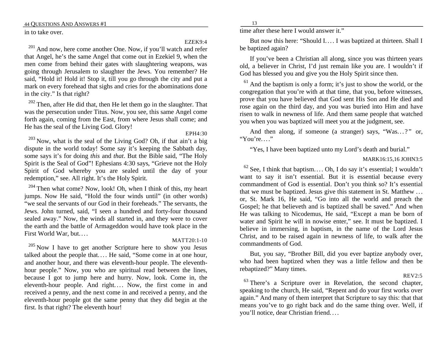in to take over.

EZEK9:4

MATT20:1-10

 $201$  And now, here come another One. Now, if you'll watch and refer that Angel, he's the same Angel that come out in Ezekiel 9, when the men come from behind their gates with slaughtering weapons, was going through Jerusalem to slaughter the Jews. You remember? He said, "Hold it! Hold it! Stop it, till you go through the city and put a mark on every forehead that sighs and cries for the abominations done in the city." Is that right?

 $202$  Then, after He did that, then He let them go in the slaughter. That was the persecution under Titus. Now, you see, this same Angel come forth again, coming from the East, from where Jesus shall come; and He has the seal of the Living God. Glory!

EPH4:30  $^{203}$  Now, what is the seal of the Living God? Oh, if that ain't a big dispute in the world today! Some say it's keeping the Sabbath day, some says it's for doing *this* and *that*. But the Bible said, "The Holy Spirit is the Seal of God"! Ephesians 4:30 says, "Grieve not the Holy Spirit of God whereby you are sealed until the day of your redemption," see. All right. It's the Holy Spirit.

 $204$  Then what come? Now, look! Oh, when I think of this, my heart jumps. Now He said, "Hold the four winds until" (in other words) "we seal the servants of our God in their foreheads." The servants, the Jews. John turned, said, "I seen a hundred and forty-four thousand sealed away." Now, the winds all started in, and they were to cover the earth and the battle of Armageddon would have took place in the First World War, but....

 $205$  Now I have to get another Scripture here to show you Jesus talked about the people that.... He said, "Some come in at one hour, and another hour, and there was eleventh-hour people. The eleventhhour people." Now, you who are spiritual read between the lines, because I got to jump here and hurry. Now, look. Come in, the eleventh-hour people. And right.... Now, the first come in and received a penny, and the next come in and received a penny, and the eleventh-hour people got the same penny that they did begin at the first. Is that right? The eleventh hour!

13

time after these here I would answer it."

But now this here: "Should I.... I was baptized at thirteen. Shall I be baptized again?

If you've been a Christian all along, since you was thirteen years old, a believer in Christ, I'd just remain like you are. I wouldn't if God has blessed you and give you the Holy Spirit since then.

 $61$  And the baptism is only a form; it's just to show the world, or the congregation that you're with at that time, that you, before witnesses, prove that you have believed that God sent His Son and He died and rose again on the third day, and you was buried into Him and have risen to walk in newness of life. And them same people that watched you when you was baptized will meet you at the judgment, see.

And then along, if someone (a stranger) says, "Was...?" or, "You're...."

"Yes, I have been baptized unto my Lord's death and burial."

MARK16:15,16 JOHN3:5

 $62$  See, I think that baptism.... Oh, I do say it's essential; I wouldn't want to say it isn't essential. But it is essential because every commandment of God is essential. Don't you think so? It's essential that we must be baptized. Jesus give this statement in St. Matthew . . . or, St. Mark 16, He said, "Go into all the world and preach the Gospel; he that believeth and is baptized shall be saved." And when He was talking to Nicodemus, He said, "Except a man be born of water and Spirit he will in nowise enter," see. It must be baptized. I believe in immersing, in baptism, in the name of the Lord Jesus Christ, and to be raised again in newness of life, to walk after the commandments of God.

But, you say, "Brother Bill, did you ever baptize anybody over, who had been baptized when they was a little fellow and then be rebaptized?" Many times.

### REV2:5

 $63$  There's a Scripture over in Revelation, the second chapter, speaking to the church, He said, "Repent and do your first works over again." And many of them interpret that Scripture to say this: that that means you've to go right back and do the same thing over. Well, if you'll notice, dear Christian friend. . . .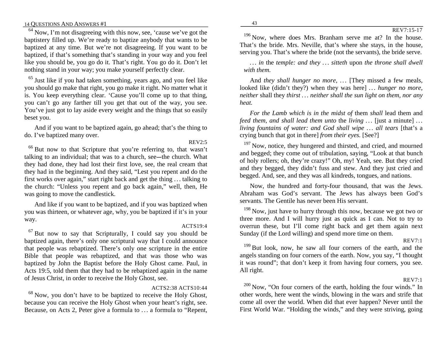$64$  Now, I'm not disagreeing with this now, see, 'cause we've got the baptistery filled up. We're ready to baptize anybody that wants to be baptized at any time. But we're not disagreeing. If you want to be baptized, if that's something that's standing in your way and you feel like you should be, you go do it. That's right. You go do it. Don't let nothing stand in your way; you make yourself perfectly clear.

 $65$  Just like if you had taken something, years ago, and you feel like you should go make that right, you go make it right. No matter what it is. You keep everything clear. 'Cause you'll come up to that thing, you can't go any farther till you get that out of the way, you see. You've just got to lay aside every weight and the things that so easily beset you.

And if you want to be baptized again, go ahead; that's the thing to do. I've baptized many over.

REV2:5

<sup>66</sup> But now to that Scripture that you're referring to, that wasn't talking to an individual; that was to a church, see—the church. What they had done, they had lost their first love, see, the real cream that they had in the beginning. And they said, "Lest you repent and do the first works over again," start right back and get the thing . . . talking to the church: "Unless you repent and go back again," well, then, He was going to move the candlestick.

And like if you want to be baptized, and if you was baptized when you was thirteen, or whatever age, why, you be baptized if it's in your way.

# ACTS19:4

 $67$  But now to say that Scripturally, I could say you should be baptized again, there's only one scriptural way that I could announce that people was rebaptized. There's only one scripture in the entire Bible that people was rebaptized, and that was those who was baptized by John the Baptist before the Holy Ghost came. Paul, in Acts 19:5, told them that they had to be rebaptized again in the name of Jesus Christ, in order to receive the Holy Ghost, see.

# ACTS2:38 ACTS10:44

 $68$  Now, you don't have to be baptized to receive the Holy Ghost, because you can receive the Holy Ghost when your heart's right, see. Because, on Acts 2, Peter give a formula to . . . a formula to "Repent,

<sup>196</sup> Now, where does Mrs. Branham serve me at? In the house. That's the bride. Mrs. Neville, that's where she stays, in the house, serving you. That's where the bride (not the servants), the bride serve.

*. . . in* the *temple: and they . . . sitteth* upon *the throne shall dwell with them.*

And *they shall hunger no more, ...* [They missed a few meals, looked like (didn't they?) when they was here] ... *hunger no more*, *neither* shall they *thirst . . . neither shall the sun light on them, nor any heat.*

*For the Lamb which is in the midst of* them *shall* lead them and *feed them, and shall lead them unto the living ...* [just a minute] ... *living fountains of water: and God shall wipe . . . all tears* [that's a crying bunch that got in there] *from their eyes.* [See?]

 $197$  Now, notice, they hungered and thirsted, and cried, and mourned and begged; they come out of tribulation, saying, "Look at that bunch of holy rollers; oh, they're crazy!" Oh, my! Yeah, see. But they cried and they begged, they didn't fuss and stew. And they just cried and begged. And, see, and they was all kindreds, tongues, and nations.

Now, the hundred and forty-four thousand, that was the Jews. Abraham was God's servant. The Jews has always been God's servants. The Gentile has never been His servant.

 $198$  Now, just have to hurry through this now, because we got two or three more. And I will hurry just as quick as I can. Not to try to overrun these, but I'll come right back and get them again next Sunday (if the Lord willing) and spend more time on them.

### REV7:1

 $199$  But look, now, he saw all four corners of the earth, and the angels standing on four corners of the earth. Now, you say, "I thought it was round"; that don't keep it from having four corners, you see. All right.

# REV7:1

 $200$  Now, "On four corners of the earth, holding the four winds." In other words, here went the winds, blowing in the wars and strife that come all over the world. When did that ever happen? Never until the First World War. "Holding the winds," and they were striving, going

# REV7:15-17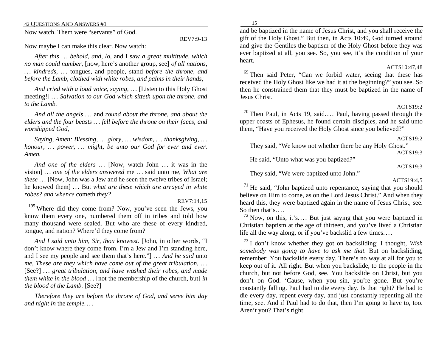Now watch. Them were "servants" of God.

REV7:9-13

Now maybe I can make this clear. Now watch:

*After this . . . behold, and, lo,* and I saw *a great multitude, which no man could number,* [now, here's another group, see] *of all nations, . . . kindreds, . . .* tongues, and people, stand *before the throne, and before the Lamb, clothed with white robes, and palms in their hands;*

*And cried with a loud voice, saying, . . .* [Listen to this Holy Ghost meeting!] ... Salvation to our God which sitteth upon the throne, and *to the Lamb.*

*And all the angels . . .* and *round about the throne, and about the elders and the four beasts . . . fell before the throne on their faces, and worshipped God,*

*Saying, Amen: Blessing, .. . glory, . . . wisdom, . . . thanksgiving, . . . honour, ... power, ... might, be unto our God for ever and ever. Amen.*

*And one of the elders* ... [Now, watch John ... it was in the vision] *. . . one of the elders answered* me . . . said unto me, *What are these* . . . [Now, John was a Jew and he seen the twelve tribes of Israel; he knowed them] ... But *what are these which are arrayed in white robes? and whence* cometh *they?*

### REV7:14,15

 $195$  Where did they come from? Now, you've seen the Jews, you know them every one, numbered them off in tribes and told how many thousand were sealed. But who are these of every kindred, tongue, and nation? Where'd they come from?

*And I said unto him, Sir, thou knowest.* [John, in other words, "I don't know where they come from. I'm a Jew and I'm standing here, and I see my people and see them that's here."] *. . . And he said* unto *me, These are they which have come out of the great tribulation, ...* [See?] ... great tribulation, and have washed their robes, and made *them white in the blood* ... [not the membership of the church, but] *in the blood of the Lamb.* [See?]

*Therefore they are before the throne of God, and serve him day and night in* the *temple. . . .*

15

and be baptized in the name of Jesus Christ, and you shall receive the gift of the Holy Ghost." But then, in Acts 10:49, God turned around and give the Gentiles the baptism of the Holy Ghost before they was ever baptized at all, you see. So, you see, it's the condition of your heart.

### ACTS10:47,48

<sup>69</sup> Then said Peter, "Can we forbid water, seeing that these has received the Holy Ghost like we had it at the beginning?" you see. So then he constrained them that they must be baptized in the name of Jesus Christ.

# ACTS19:2

 $70$  Then Paul, in Acts 19, said.... Paul, having passed through the upper coasts of Ephesus, he found certain disciples, and he said unto them, "Have you received the Holy Ghost since you believed?"

### ACTS19:2

They said, "We know not whether there be any Holy Ghost." ACTS19:3

He said, "Unto what was you baptized?"

### ACTS19:3

They said, "We were baptized unto John."

ACTS19:4,5

 $71$  He said, "John baptized unto repentance, saying that you should believe on Him to come, as on the Lord Jesus Christ." And when they heard this, they were baptized again in the name of Jesus Christ, see. So then that's.

 $72$  Now, on this, it's.... But just saying that you were baptized in Christian baptism at the age of thirteen, and you've lived a Christian life all the way along, or if you've backslid a few times. . . .

<sup>73</sup> I don't know whether they got on backsliding; I thought, *Wish somebody was going to have to ask me that.* But on backsliding, remember: You backslide every day. There's no way at all for you to keep out of it. All right. But when you backslide, to the people in the church, but not before God, see. You backslide on Christ, but you don't on God. 'Cause, when you sin, you're gone. But you're constantly falling. Paul had to die every day. Is that right? He had to die every day, repent every day, and just constantly repenting all the time, see. And if Paul had to do that, then I'm going to have to, too. Aren't you? That's right.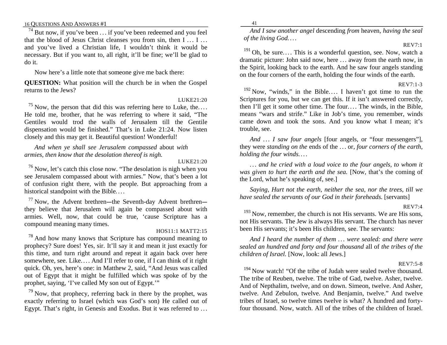$74$  But now, if you've been ... if you've been redeemed and you feel that the blood of Jesus Christ cleanses you from sin, then  $I \ldots I \ldots$ and you've lived a Christian life, I wouldn't think it would be necessary. But if you want to, all right, it'll be fine; we'll be glad to do it.

Now here's a little note that someone give me back there:

**QUESTION:** What position will the church be in when the Gospel returns to the Jews?

LUKE21:20

41

 $^{75}$  Now, the person that did this was referring here to Luke, the.... He told me, brother, that he was referring to where it said, "The Gentiles would trod the walls of Jerusalem till the Gentile dispensation would be finished." That's in Luke 21:24. Now listen closely and this may get it. Beautiful question! Wonderful!

*And when ye shall see Jerusalem compassed* about *with armies, then know that the desolation thereof is nigh.*

### LUKE21:20

 $76$  Now, let's catch this close now. "The desolation is nigh when you see Jerusalem compassed about with armies." Now, that's been a lot of confusion right there, with the people. But approaching from a historical standpoint with the Bible....

 $^{77}$  Now, the Advent brethren---the Seventh-day Advent brethren-they believe that Jerusalem will again be compassed about with armies. Well, now, that could be true, 'cause Scripture has a compound meaning many times.

HOS11:1 MATT2:15

 $78$  And how many knows that Scripture has compound meaning to prophecy? Sure does! Yes, sir. It'll say it and mean it just exactly for this time, and turn right around and repeat it again back over here somewhere, see. Like.. . . And I'll refer to one, if I can think of it right quick. Oh, yes, here's one: in Matthew 2, said, "And Jesus was called out of Egypt that it might be fulfilled which was spoke of by the prophet, saying, 'I've called My son out of Egypt.'"

 $79$  Now, that prophecy, referring back in there by the prophet, was exactly referring to Israel (which was God's son) He called out of Egypt. That's right, in Genesis and Exodus. But it was referred to ...

*And I saw another angel* descending *from* heaven*, having the seal of the living God. . . .*

REV7:1

 $191$  Oh, be sure.... This is a wonderful question, see. Now, watch a dramatic picture: John said now, here . . . away from the earth now, in the Spirit, looking back to the earth. And he saw four angels standing on the four corners of the earth, holding the four winds of the earth.

REV7:1-3

 $192$  Now, "winds," in the Bible.... I haven't got time to run the Scriptures for you, but we can get this. If it isn't answered correctly, then I'll get it some other time. The four.... The winds, in the Bible, means "wars and strife." Like in Job's time, you remember, winds came down and took the sons. And you know what I mean; it's trouble, see.

*And . . . I saw four angels* [four angels, or "four messengers"], they were *standing on the* ends of the . . . or, *four corners of the earth, holding the four winds.. . .*

*. . . and he cried with a loud voice to the four angels, to whom it was given to hurt the earth and the sea.* [Now, that's the coming of the Lord, what he's speaking of, see.]

*Saying, Hurt not the earth, neither the sea, nor the trees, till we have sealed the servants of our God in their foreheads.* [servants]

REV7:4

 $193$  Now, remember, the church is not His servants. We are His sons, not His servants. The Jew is always His servant. The church has never been His servants; it's been His children, see. The servants:

*And I heard the number of them . . . were sealed: and there were sealed an hundred and forty and four thousand* all of *the tribes of the children of Israel.* [Now, look: all Jews.]

REV7:5-8

<sup>194</sup> Now watch! "Of the tribe of Judah were sealed twelve thousand. The tribe of Reuben, twelve. The tribe of Gad, twelve. Asher, twelve. And of Nepthalim, twelve, and on down. Simeon, twelve. And Asher, twelve. And Zebulon, twelve. And Benjamin, twelve." And twelve tribes of Israel, so twelve times twelve is what? A hundred and fortyfour thousand. Now, watch. All of the tribes of the children of Israel.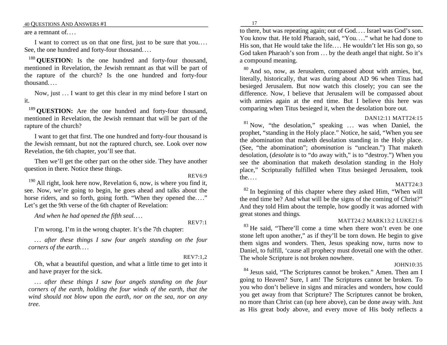are a remnant of.. . .

I want to correct us on that one first, just to be sure that you.... See, the one hundred and forty-four thousand....

<sup>188</sup> **QUESTION:** Is the one hundred and forty-four thousand, mentioned in Revelation, the Jewish remnant as that will be part of the rapture of the church? Is the one hundred and forty-four thousand. . . .

Now, just ... I want to get this clear in my mind before I start on it.

<sup>189</sup> **QUESTION:** Are the one hundred and forty-four thousand, mentioned in Revelation, the Jewish remnant that will be part of the rapture of the church?

I want to get that first. The one hundred and forty-four thousand is the Jewish remnant, but not the raptured church, see. Look over now Revelation, the 6th chapter, you'll see that.

Then we'll get the other part on the other side. They have another question in there. Notice these things. REV6:9

 $190$  All right, look here now, Revelation 6, now, is where you find it, see. Now, we're going to begin, he goes ahead and talks about the horse riders, and so forth, going forth. "When they opened the...." Let's get the 9th verse of the 6th chapter of Revelation:

*And when he had opened the fifth seal. . . .*

REV7:1

I'm wrong. I'm in the wrong chapter. It's the 7th chapter:

*. . . after these things I saw four angels standing on the four corners of the earth. . . .*

REV7:1,2

Oh, what a beautiful question, and what a little time to get into it and have prayer for the sick.

*. . . after these things I saw four angels standing on the four corners of the earth, holding the four winds of the earth, that the wind should not blow* upon *the earth, nor on the sea, nor on any tree.*

to there, but was repeating again; out of God. . . . Israel was God's son. You know that. He told Pharaoh, said, "You...." what he had done to His son, that He would take the life.... He wouldn't let His son go, so God taken Pharaoh's son from .. . by the death angel that night. So it's a compound meaning.

<sup>80</sup> And so, now, as Jerusalem, compassed about with armies, but, literally, historically, that was during about AD 96 when Titus had besieged Jerusalem. But now watch this closely; you can see the difference. Now, I believe that Jerusalem will be compassed about with armies again at the end time. But I believe this here was comparing when Titus besieged it, when the desolation bore out.

### DAN12:11 MATT24:15

 $81$  Now, "the desolation," speaking  $\ldots$  was when Daniel, the prophet, "standing in the Holy place." Notice, he said, "When you see the abomination that maketh desolation standing in the Holy place. (See, "the abomination"; *abomination* is "unclean.") That maketh desolation, (*desolate* is to "do away with," is to "destroy.") When you see the abomination that maketh desolation standing in the Holy place," Scripturally fulfilled when Titus besieged Jerusalem, took the....

### MATT24:3

 $82$  In beginning of this chapter where they asked Him, "When will the end time be? And what will be the signs of the coming of Christ?" And they told Him about the temple, how goodly it was adorned with great stones and things.

### MATT24:2 MARK13:2 LUKE21:6

<sup>83</sup> He said, "There'll come a time when there won't even be one stone left upon another," as if they'll be torn down. He begin to give them signs and wonders. Then, Jesus speaking now, turns now to Daniel, to fulfill, 'cause all prophecy must dovetail one with the other. The whole Scripture is not broken nowhere.

### JOHN10:35

<sup>84</sup> Jesus said, "The Scriptures cannot be broken." Amen. Then am I going to Heaven? Sure, I am! The Scriptures cannot be broken. To you who don't believe in signs and miracles and wonders, how could you get away from that Scripture? The Scriptures cannot be broken, no more than Christ can (up here above), can be done away with. Just as His great body above, and every move of His body reflects a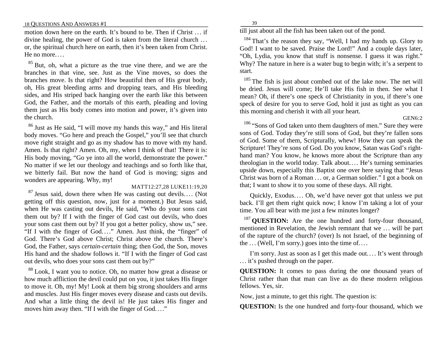motion down here on the earth. It's bound to be. Then if Christ . . . if divine healing, the power of God is taken from the literal church ... or, the spiritual church here on earth, then it's been taken from Christ. He no more.. . .

<sup>85</sup> But, oh, what a picture as the true vine there, and we are the branches in that vine, see. Just as the Vine moves, so does the branches move. Is that right? How beautiful then of His great body, oh, His great bleeding arms and dropping tears, and His bleeding sides, and His striped back hanging over the earth like this between God, the Father, and the mortals of this earth, pleading and loving them just as His body comes into motion and power, it's given into the church.

<sup>86</sup> Just as He said, "I will move my hands this way," and His literal body moves. "Go here and preach the Gospel," you'll see that church move right straight and go as my shadow has to move with my hand. Amen. Is that right? Amen. Oh, my, when I think of that! There it is: His body moving, "Go ye into all the world, demonstrate the power." No matter if we let our theology and teachings and so forth like that, we bitterly fail. But now the hand of God is moving; signs and wonders are appearing. Why, my!

# MATT12:27,28 LUKE11:19,20

 $87$  Jesus said, down there when He was casting out devils.... (Not getting off this question, now, just for a moment.) But Jesus said, when He was casting out devils, He said, "Who do your sons cast them out by? If I with the finger of God cast out devils, who does your sons cast them out by? If you got a better policy, show us," see. "If I with the finger of God...." Amen. Just think, the "finger" of God. There's God above Christ; Christ above the church. There's God, the Father, says *certain-certain* thing; then God, the Son, moves His hand and the shadow follows it. "If I with the finger of God cast out devils, who does your sons cast them out by?"

<sup>88</sup> Look, I want you to notice. Oh, no matter how great a disease or how much affliction the devil could put on you, it just takes His finger to move it. Oh, my! My! Look at them big strong shoulders and arms and muscles. Just His finger moves every disease and casts out devils. And what a little thing the devil is! He just takes His finger and moves him away then. "If I with the finger of God...."

39

till just about all the fish has been taken out of the pond.

 $184$  That's the reason they say, "Well, I had my hands up. Glory to God! I want to be saved. Praise the Lord!" And a couple days later, "Oh, Lydia, you know that stuff is nonsense. I guess it was right." Why? The nature in here is a water bug to begin with; it's a serpent to start.

<sup>185</sup> The fish is just about combed out of the lake now. The net will be dried. Jesus will come; He'll take His fish in then. See what I mean? Oh, if there's one speck of Christianity in you, if there's one speck of desire for you to serve God, hold it just as tight as you can this morning and cherish it with all your heart.

 $GEN6.2$ 

<sup>186</sup> "Sons of God taken unto them daughters of men." Sure they were sons of God. Today they're still sons of God, but they're fallen sons of God. Some of them, Scripturally, whew! How they can speak the Scripture! They're sons of God. Do you know, Satan was God's righthand man? You know, he knows more about the Scripture than any theologian in the world today. Talk about.. . . He's turning seminaries upside down, especially this Baptist one over here saying that "Jesus Christ was born of a Roman . . . or, a German soldier." I got a book on that; I want to show it to you some of these days. All right.

Quickly, Exodus.... Oh, we'd have never got that unless we put back. I'll get them right quick now; I know I'm taking a lot of your time. You all bear with me just a few minutes longer?

<sup>187</sup> **QUESTION:** Are the one hundred and forty-four thousand, mentioned in Revelation, the Jewish remnant that we ... will be part of the rapture of the church? (over) Is not Israel, of the beginning of the  $\dots$  (Well, I'm sorry.) goes into the time of...

I'm sorry. Just as soon as I get this made out.... It's went through . . . it's pushed through on the paper.

**QUESTION:** It comes to pass during the one thousand years of Christ rather than that man can live as do these modern religious fellows. Yes, sir.

Now, just a minute, to get this right. The question is:

**QUESTION:** Is the one hundred and forty-four thousand, which we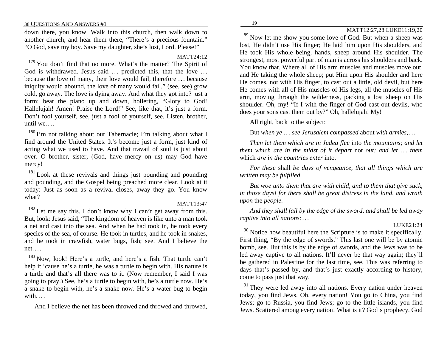down there, you know. Walk into this church, then walk down to another church, and hear them there, "There's a precious fountain." "O God, save my boy. Save my daughter, she's lost, Lord. Please!"

MATT24:12

 $179$  You don't find that no more. What's the matter? The Spirit of God is withdrawed. Jesus said ... predicted this, that the love ... because the love of many, their love would fail, therefore ... because iniquity would abound, the love of many would fail," (see, see) grow cold, go away. The love is dying away. And what they got into? just a form: beat the piano up and down, hollering, "Glory to God! Hallelujah! Amen! Praise the Lord!" See, like that, it's just a form. Don't fool yourself, see, just a fool of yourself, see. Listen, brother, until we. . . .

 $180$  I'm not talking about our Tabernacle; I'm talking about what I find around the United States. It's become just a form, just kind of acting what we used to have. And that travail of soul is just about over. O brother, sister, (God, have mercy on us) may God have mercy!

<sup>181</sup> Look at these revivals and things just pounding and pounding and pounding, and the Gospel being preached more clear. Look at it today: Just as soon as a revival closes, away they go. You know what?

MATT13:47

 $182$  Let me say this. I don't know why I can't get away from this. But, look: Jesus said, "The kingdom of heaven is like unto a man took a net and cast into the sea. And when he had took in, he took every species of the sea, of course. He took in turtles, and he took in snakes, and he took in crawfish, water bugs, fish; see. And I believe the net. . . .

<sup>183</sup> Now, look! Here's a turtle, and here's a fish. That turtle can't help it 'cause he's a turtle, he was a turtle to begin with. His nature is a turtle and that's all there was to it. (Now remember, I said I was going to pray.) See, he's a turtle to begin with, he's a turtle now. He's a snake to begin with, he's a snake now. He's a water bug to begin with.  $\ldots$ 

And I believe the net has been throwed and throwed and throwed,

<sup>89</sup> Now let me show you some love of God. But when a sheep was lost, He didn't use His finger; He laid him upon His shoulders, and He took His whole being, hands, sheep around His shoulder. The strongest, most powerful part of man is across his shoulders and back. You know that. Where all of His arm muscles and muscles move out, and He taking the whole sheep; put Him upon His shoulder and here He comes, not with His finger, to cast out a little, old devil, but here He comes with all of His muscles of His legs, all the muscles of His arm, moving through the wilderness, packing a lost sheep on His shoulder. Oh, my! "If I with the finger of God cast out devils, who does your sons cast them out by?" Oh, hallelujah! My!

All right, back to the subject:

But *when ye . . . see Jerusalem compassed* about *with armies, . . .*

*Then let them which are in Judea flee* into *the mountains; and let them which are in the midst of it depart* not *out; and let . . . them*  which *are in the countries enter* into*.*

*For these* shall *be days of vengeance, that all things which are written may be fulfilled.*

*But woe unto them that are with child, and to them that give suck, in those days! for there shall be great distress in the land, and wrath upon* the *people.*

*And they shall fall by the edge of the sword, and shall be led away captive into all nations:. . .*

# LUKE21:24

 $90$  Notice how beautiful here the Scripture is to make it specifically. First thing, "By the edge of swords." This last one will be by atomic bomb, see. But this is by the edge of swords, and the Jews was to be led away captive to all nations. It'll never be that way again; they'll be gathered in Palestine for the last time, see. This was referring to days that's passed by, and that's just exactly according to history, come to pass just that way.

 $91$  They were led away into all nations. Every nation under heaven today, you find Jews. Oh, every nation! You go to China, you find Jews; go to Russia, you find Jews; go to the little islands, you find Jews. Scattered among every nation! What is it? God's prophecy. God

# MATT12:27,28 LUKE11:19,20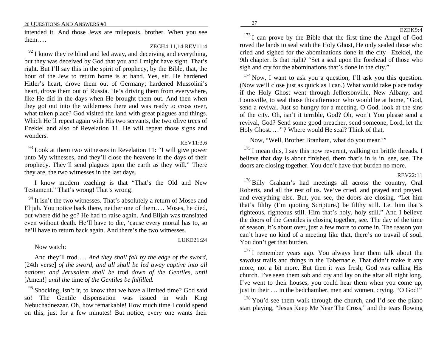intended it. And those Jews are mileposts, brother. When you see them...

ZECH4:11,14 REV11:4

 $92$  I know they're blind and led away, and deceiving and everything, but they was deceived by God that you and I might have sight. That's right. But I'll say this in the spirit of prophecy, by the Bible, that, the hour of the Jew to return home is at hand. Yes, sir. He hardened Hitler's heart, drove them out of Germany; hardened Mussolini's heart, drove them out of Russia. He's driving them from everywhere, like He did in the days when He brought them out. And then when they got out into the wilderness there and was ready to cross over, what taken place? God visited the land with great plagues and things. Which He'll repeat again with His two servants, the two olive trees of Ezekiel and also of Revelation 11. He will repeat those signs and wonders.

REV11:3,6

LUKE21:24

 $93$  Look at them two witnesses in Revelation 11: "I will give power unto My witnesses, and they'll close the heavens in the days of their prophecy. They'll send plagues upon the earth as they will." There they are, the two witnesses in the last days.

I know modern teaching is that "That's the Old and New Testament." That's wrong! That's wrong!

 $94$  It isn't the two witnesses. That's absolutely a return of Moses and Elijah. You notice back there, neither one of them.... Moses, he died, but where did he go? He had to raise again. And Elijah was translated even without death. He'll have to die, 'cause every mortal has to, so he'll have to return back again. And there's the two witnesses.

Now watch:

And they'll trod.... *And they shall fall by the edge of the sword*, [24th verse] *of the sword, and all shall be led away captive into all nations: and Jerusalem shall be* trod *down of the Gentiles, until*  [Amen!] *until the* time *of the Gentiles be fulfilled.*

 $95$  Shocking, isn't it, to know that we have a limited time? God said so! The Gentile dispensation was issued in with King Nebuchadnezzar. Oh, how remarkable! How much time I could spend on this, just for a few minutes! But notice, every one wants their

<sup>173</sup> I can prove by the Bible that the first time the Angel of God roved the lands to seal with the Holy Ghost, He only sealed those who cried and sighed for the abominations done in the city-Ezekiel, the 9th chapter. Is that right? "Set a seal upon the forehead of those who sigh and cry for the abominations that's done in the city."

 $174$  Now, I want to ask you a question, I'll ask you this question. (Now we'll close just as quick as I can.) What would take place today if the Holy Ghost went through Jeffersonville, New Albany, and Louisville, to seal those this afternoon who would be at home, "God, send a revival. Just so hungry for a meeting. O God, look at the sins of the city. Oh, isn't it terrible, God? Oh, won't You please send a revival, God? Send some good preacher, send someone, Lord, let the Holy Ghost...."? Where would He seal? Think of that.

Now, "Well, Brother Branham, what do you mean?"

 $175$  I mean this, I say this now reverent, walking on brittle threads. I believe that day is about finished, them that's in is in, see, see. The doors are closing together. You don't have that burden no more.

REV22:11

<sup>176</sup> Billy Graham's had meetings all across the country, Oral Roberts, and all the rest of us. We've cried, and prayed and prayed, and everything else. But, you see, the doors are closing. "Let him that's filthy (I'm quoting Scripture.) be filthy still. Let him that's righteous, righteous still. Him that's holy, holy still." And I believe the doors of the Gentiles is closing together, see. The day of the time of season, it's about over, just a few more to come in. The reason you can't have no kind of a meeting like that, there's no travail of soul. You don't get that burden.

 $177$  I remember years ago. You always hear them talk about the sawdust trails and things in the Tabernacle. That didn't make it any more, not a bit more. But then it was fresh; God was calling His church. I've seen them sob and cry and lay on the altar all night long. I've went to their houses, you could hear them when you come up, just in their ... in the bedchamber, men and women, crying, "O God!"

 $178$  You'd see them walk through the church, and I'd see the piano start playing, "Jesus Keep Me Near The Cross," and the tears flowing

# EZEK9:4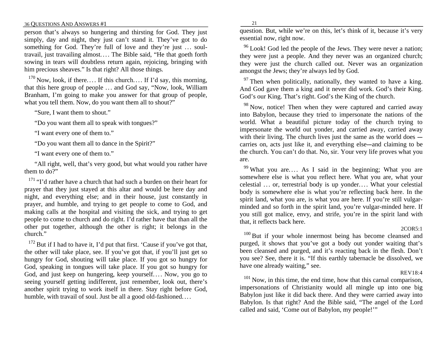person that's always so hungering and thirsting for God. They just simply, day and night, they just can't stand it. They've got to do something for God. They're full of love and they're just ... soultravail, just travailing almost.... The Bible said, "He that goeth forth sowing in tears will doubtless return again, rejoicing, bringing with him precious sheaves." Is that right? All those things.

 $170$  Now, look, if there.... If this church.... If I'd say, this morning, that this here group of people . . . and God say, "Now, look, William Branham, I'm going to make you answer for that group of people, what you tell them. Now, do you want them all to shout?"

"Sure, I want them to shout."

"Do you want them all to speak with tongues?"

"I want every one of them to."

"Do you want them all to dance in the Spirit?"

"I want every one of them to."

"All right, well, that's very good, but what would you rather have them to do?"

<sup>171</sup> "I'd rather have a church that had such a burden on their heart for prayer that they just stayed at this altar and would be here day and night, and everything else; and in their house, just constantly in prayer, and humble, and trying to get people to come to God, and making calls at the hospital and visiting the sick, and trying to get people to come to church and do right. I'd rather have that than all the other put together, although the other is right; it belongs in the church."

 $172$  But if I had to have it, I'd put that first. 'Cause if you've got that, the other will take place, see. If you've got that, if you'll just get so hungry for God, shouting will take place. If you got so hungry for God, speaking in tongues will take place. If you got so hungry for God, and just keep on hungering, keep yourself.... Now, you go to seeing yourself getting indifferent, just remember, look out, there's another spirit trying to work itself in there. Stay right before God, humble, with travail of soul. Just be all a good old-fashioned....

question. But, while we're on this, let's think of it, because it's very essential now, right now.

21

 $96$  Look! God led the people of the Jews. They were never a nation; they were just a people. And they never was an organized church; they were just the church called out. Never was an organization amongst the Jews; they're always led by God.

 $97$  Then when politically, nationally, they wanted to have a king. And God gave them a king and it never did work. God's their King. God's our King. That's right. God's the King of the church.

<sup>98</sup> Now, notice! Then when they were captured and carried away into Babylon, because they tried to impersonate the nations of the world. What a beautiful picture today of the church trying to impersonate the world out yonder, and carried away, carried away with their living. The church lives just the same as the world does -carries on, acts just like it, and everything else—and claiming to be the church. You can't do that. No, sir. Your very life proves what you are.

 $99$  What you are.... As I said in the beginning; What you are somewhere else is what you reflect here. What you are, what your celestial ... or, terrestrial body is up yonder.... What your celestial body is somewhere else is what you're reflecting back here. In the spirit land, what you are, is what you are here. If you're still vulgarminded and so forth in the spirit land, you're vulgar-minded here. If you still got malice, envy, and strife, you're in the spirit land with that, it reflects back here.

# 2COR5:1

<sup>100</sup> But if your whole innermost being has become cleansed and purged, it shows that you've got a body out yonder waiting that's been cleansed and purged, and it's reacting back in the flesh. Don't you see? See, there it is. "If this earthly tabernacle be dissolved, we have one already waiting," see.

# REV18:4

 $101$  Now, in this time, the end time, how that this carnal comparison, impersonations of Christianity would all mingle up into one big Babylon just like it did back there. And they were carried away into Babylon. Is that right? And the Bible said, "The angel of the Lord called and said, 'Come out of Babylon, my people!'"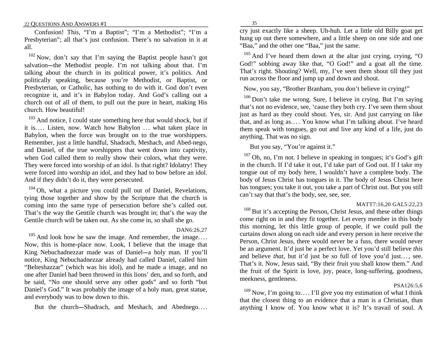Confusion! This, "I'm a Baptist"; "I'm a Methodist"; "I'm a Presbyterian": all that's just confusion. There's no salvation in it at all.

 $102$  Now, don't say that I'm saying the Baptist people hasn't got salvation---the Methodist people. I'm not talking about that. I'm talking about the church in its political power, it's politics. And politically speaking, because you're Methodist, or Baptist, or Presbyterian, or Catholic, has nothing to do with it. God don't even recognize it, and it's in Babylon today. And God's calling out a church out of all of them, to pull out the pure in heart, making His church. How beautiful!

 $103$  And notice, I could state something here that would shock, but if it is.... Listen, now. Watch how Babylon ... what taken place in Babylon, when the force was brought on to the true worshippers. Remember, just a little handful, Shadrach, Meshach, and Abed-nego, and Daniel, of the true worshippers that went down into captivity, when God called them to really show their colors, what they were. They were forced into worship of an idol. Is that right? Idolatry! They were forced into worship an idol, and they had to bow before an idol. And if they didn't do it, they were persecuted.

<sup>104</sup> Oh, what a picture you could pull out of Daniel, Revelations, tying those together and show by the Scripture that the church is coming into the same type of persecution before she's called out. That's the way the Gentile church was brought in; that's the way the Gentile church will be taken out. As she come in, so shall she go.

# DAN6:26,27

And look how he saw the image. And remember, the image.... Now, this is home-place now. Look, I believe that the image that King Nebuchadnezzar made was of Daniel--a holy man. If you'll notice, King Nebuchadnezzar already had called Daniel, called him "Belteshazzar" (which was his idol), and he made a image, and no one after Daniel had been throwed in this lions' den, and so forth, and he said, "No one should serve any other gods" and so forth "but Daniel's God." It was probably the image of a holy man, great statue, and everybody was to bow down to this.

But the church--Shadrach, and Meshach, and Abednego....

cry just exactly like a sheep. Uh-huh. Let a little old Billy goat get hung up out there somewhere, and a little sheep on one side and one "Baa," and the other one "Baa," just the same.

 $165$  And I've heard them down at the altar just crying, crying, "O God!" sobbing away like that, "O God!" and a goat all the time. That's right. Shouting? Well, my, I've seen them shout till they just run across the floor and jump up and down and shout.

Now, you say, "Brother Branham, you don't believe in crying!"

<sup>166</sup> Don't take me wrong. Sure, I believe in crying. But I'm saying that's not no evidence, see, 'cause they both cry. I've seen them shout just as hard as they could shout. Yes, sir. And just carrying on like that, and as long as.... You know what I'm talking about. I've heard them speak with tongues, go out and live any kind of a life, just do anything. That was no sign.

But you say, "You're against it."

 $167$  Oh, no, I'm not. I believe in speaking in tongues; it's God's gift in the church. If I'd take it out, I'd take part of God out. If I take my tongue out of my body here, I wouldn't have a complete body. The body of Jesus Christ has tongues in it. The body of Jesus Christ here has tongues; you take it out, you take a part of Christ out. But you still can't say that that's the body, see, see, see.

# MATT7:16,20 GAL5:22,23

<sup>168</sup> But it's accepting the Person, Christ Jesus, and these other things come right on in and they fit together. Let every member in this body this morning, let this little group of people, if we could pull the curtains down along on each side and every person in here receive the Person, Christ Jesus, there would never be a fuss, there would never be an argument. It'd just be a perfect love. Yet you'd still believe *this* and believe *that*, but it'd just be so full of love you'd just..., see. That's it. Now, Jesus said, "By their fruit you shall know them." And the fruit of the Spirit is love, joy, peace, long-suffering, goodness, meekness, gentleness.

### PSA126:5,6

 $169$  Now, I'm going to.... I'll give you my estimation of what I think that the closest thing to an evidence that a man is a Christian, than anything I know of. You know what it is? It's travail of soul. A

35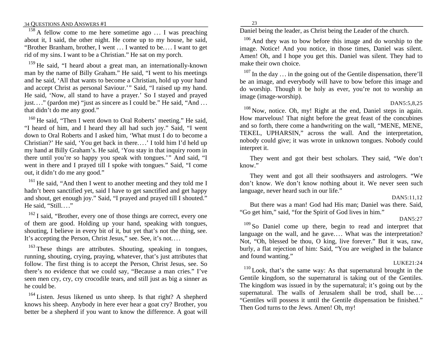$158$  A fellow come to me here sometime ago ... I was preaching about it, I said, the other night. He come up to my house, he said, "Brother Branham, brother, I went . . . I wanted to be. . . . I want to get rid of my sins. I want to be a Christian." He sat on my porch.

<sup>159</sup> He said, "I heard about a great man, an internationally-known man by the name of Billy Graham." He said, "I went to his meetings and he said, 'All that wants to become a Christian, hold up your hand and accept Christ as personal Saviour.'" Said, "I raised up my hand. He said, 'Now, all stand to have a prayer.' So I stayed and prayed just...." (pardon me) "just as sincere as I could be." He said, "And ... that didn't do me any good."

 $160$  He said, "Then I went down to Oral Roberts' meeting." He said, "I heard of him, and I heard they all had such joy." Said, "I went down to Oral Roberts and I asked him, 'What must I do to become a Christian?' He said, 'You get back in there. . . .' I told him I'd held up my hand at Billy Graham's. He said, 'You stay in that inquiry room in there until you're so happy you speak with tongues.'" And said, "I went in there and I prayed till I spoke with tongues." Said, "I come out, it didn't do me any good."

 $161$  He said, "And then I went to another meeting and they told me I hadn't been sanctified yet, said I have to get sanctified and get happy and shout, get enough joy." Said, "I prayed and prayed till I shouted." He said, "Still...."

 $162$  I said, "Brother, every one of those things are correct, every one of them are good. Holding up your hand, speaking with tongues, shouting, I believe in every bit of it, but yet that's not the thing, see. It's accepting the Person, Christ Jesus," see. See, it's not....

 $163$  These things are attributes. Shouting, speaking in tongues, running, shouting, crying, praying, whatever, that's just attributes that follow. The first thing is to accept the Person, Christ Jesus, see. So there's no evidence that we could say, "Because a man cries." I've seen men cry, cry, cry crocodile tears, and still just as big a sinner as he could be.

<sup>164</sup> Listen. Jesus likened us unto sheep. Is that right? A shepherd knows his sheep. Anybody in here ever hear a goat cry? Brother, you better be a shepherd if you want to know the difference. A goat will 23

Daniel being the leader, as Christ being the Leader of the church.

<sup>106</sup> And they was to bow before this image and do worship to the image. Notice! And you notice, in those times, Daniel was silent. Amen! Oh, and I hope you get this. Daniel was silent. They had to make their own choice.

 $107$  In the day ... in the going out of the Gentile dispensation, there'll be an image, and everybody will have to bow before this image and do worship. Though it be holy as ever, you're not to worship an image (image-worship).

### DAN5:5,8,25

<sup>108</sup> Now, notice. Oh, my! Right at the end, Daniel steps in again. How marvelous! That night before the great feast of the concubines and so forth, there come a handwriting on the wall, "MENE, MENE, TEKEL, UPHARSIN," across the wall. And the interpretation, nobody could give; it was wrote in unknown tongues. Nobody could interpret it.

They went and got their best scholars. They said, "We don't know."

They went and got all their soothsayers and astrologers. "We don't know. We don't know nothing about it. We never seen such language, never heard such in our life."

## $DAN5:11,12$

But there was a man! God had His man; Daniel was there. Said, "Go get him," said, "for the Spirit of God lives in him."

#### DAN5:27

 $109$  So Daniel come up there, begin to read and interpret that language on the wall, and he gave.... What was the interpretation? Not, "Oh, blessed be thou, O king, live forever." But it was, raw, burly, a flat rejection of him: Said, "You are weighed in the balance and found wanting."

### LUKE21:24

 $110$  Look, that's the same way: As that supernatural brought in the Gentile kingdom, so the supernatural is taking out of the Gentiles. The kingdom was issued in by the supernatural; it's going out by the supernatural. The walls of Jerusalem shall be trod, shall be.... "Gentiles will possess it until the Gentile dispensation be finished." Then God turns to the Jews. Amen! Oh, my!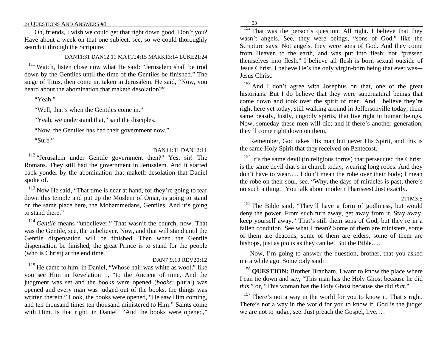Oh, friends, I wish we could get that right down good. Don't you? Have about a week on that one subject, see, so we could thoroughly search it through the Scripture.

### DAN11:31 DAN12:11 MATT24:15 MARK13:14 LUKE21:24

<sup>111</sup> Watch, listen close now what He said: "Jerusalem shall be trod down by the Gentiles until the time of the Gentiles be finished." The siege of Titus, then come in, taken in Jerusalem. He said, "Now, you heard about the abomination that maketh desolation?"

"Yeah"

"Well, that's when the Gentiles come in."

"Yeah, we understand that," said the disciples.

"Now, the Gentiles has had their government now."

"Sure."

# DAN11:31 DAN12:11

<sup>112</sup> "Jerusalem under Gentile government then?" Yes, sir! The Romans. They still had the government in Jerusalem. And it started back yonder by the abomination that maketh desolation that Daniel spoke of.

 $113$  Now He said, "That time is near at hand, for they're going to tear down this temple and put up the Moslem of Omar, is going to stand on the same place here, the Mohammedans, Gentiles. And it's going to stand there."

<sup>114</sup> *Gentile* means "unbeliever." That wasn't the church, now. That was the Gentile, see, the unbeliever. Now, and that will stand until the Gentile dispensation will be finished. Then when the Gentile dispensation be finished, the great Prince is to stand for the people (who is Christ) at the end time.

# DAN7:9,10 REV20:12

 $115$  He came to him, in Daniel, "Whose hair was white as wool," like you see Him in Revelation 1, "to the Ancient of time. And the judgment was set and the books were opened (*books:* plural) was opened and every man was judged out of the books, the things was written therein." Look, the books were opened, "He saw Him coming, and ten thousand times ten thousand ministered to Him." Saints come with Him. Is that right, in Daniel? "And the books were opened,"

33

 $152$  That was the person's question. All right. I believe that they wasn't angels. See, they were beings, "sons of God," like the Scripture says. Not angels, they were sons of God. And they come from Heaven to the earth, and was put into flesh; not "pressed themselves into flesh." I believe all flesh is born sexual outside of Jesus Christ. I believe He's the only virgin-born being that ever was--- Jesus Christ.

<sup>153</sup> And I don't agree with Josephus on that, one of the great historians. But I do believe that they were supernatural beings that come down and took over the spirit of men. And I believe they're right here yet today, still walking around in Jeffersonville today, them same beastly, lustly, ungodly spirits, that live right in human beings. Now, someday these men will die; and if there's another generation, they'll come right down on them.

Remember, God takes His man but never His Spirit, and this is the same Holy Spirit that they received on Pentecost.

 $154$  It's the same devil (in religious forms) that persecuted the Christ, is the same devil that's in church today, wearing long robes. And they don't have to wear.. . . I don't mean the robe over their body; I mean the robe on their soul, see. "Why, the days of miracles is past; there's no such a thing." You talk about modern Pharisees! Just exactly.

#### 2TIM3:5

<sup>155</sup> The Bible said, "They'll have a form of godliness, but would deny the power. From such turn away, get away from it. Stay away, keep yourself away." That's still them sons of God, but they're in a fallen condition. See what I mean? Some of them are ministers, some of them are deacons, some of them are elders, some of them are bishops, just as pious as they can be! But the Bible....

Now, I'm going to answer the question, brother, that you asked me a while ago. Somebody said:

<sup>156</sup> QUESTION: Brother Branham, I want to know the place where I can tie down and say, "This man has the Holy Ghost because he did *this*," or, "This woman has the Holy Ghost because she did *that*."

<sup>157</sup> There's not a way in the world for you to know it. That's right. There's not a way in the world for you to know it. God is the judge; we are not to judge, see. Just preach the Gospel, live....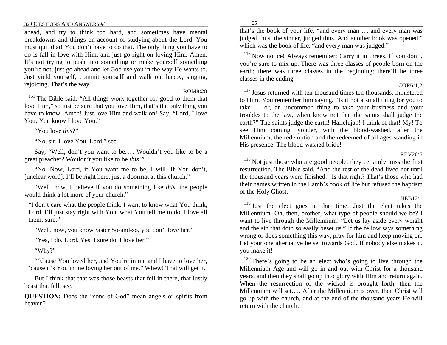ahead, and try to think too hard, and sometimes have mental breakdowns and things on account of studying about the Lord. You must quit that! You don't have to do that. The only thing you have to do is fall in love with Him, and just go right on loving Him. Amen. It's not trying to push into something or make yourself something you're not; just go ahead and let God use you in the way He wants to. Just yield yourself, commit yourself and walk on, happy, singing, rejoicing. That's the way.

### ROM8:28

<sup>151</sup> The Bible said, "All things work together for good to them that love Him," so just be sure that you love Him, that's the only thing you have to know. Amen! Just love Him and walk on! Say, "Lord, I love You, You know I love You."

"You love *this*?"

"No, sir. I love You, Lord," see.

Say, "Well, don't you want to be.... Wouldn't you like to be a great preacher? Wouldn't you like to be *this*?"

"No. Now, Lord, if You want me to be, I will. If You don't, [unclear word]. I'll be right here, just a doormat at this church."

"Well, now, I believe if you do something like *this*, the people would think a lot more of your church."

"I don't care what the people think. I want to know what You think, Lord. I'll just stay right with You, what You tell me to do. I love all them, sure."

"Well, now, you know Sister So-and-so, you don't love her."

"Yes, I do, Lord. Yes, I sure do. I love her."

"Why?"

"'Cause You loved her, and You're in me and I have to love her, 'cause it's You in me loving her out of me." Whew! That will get it.

But I think that that was those beasts that fell in there, that lustly beast that fell, see.

**QUESTION:** Does the "sons of God" mean angels or spirits from heaven?

that's the book of your life, "and every man ... and every man was judged thus, the sinner, judged thus. And another book was opened," which was the book of life, "and every man was judged."

 $116$  Now notice! Always remember: Carry it in threes. If you don't, you're sure to mix up. There was three classes of people born on the earth; there was three classes in the beginning; there'll be three classes in the ending.

# 1COR6:1,2

 $117$  Jesus returned with ten thousand times ten thousands, ministered to Him. You remember him saying, "Is it not a small thing for you to take ... or, an uncommon thing to take your business and your troubles to the law, when know not that the saints shall judge the earth?" The saints judge the earth! Hallelujah! I think of that! My! To see Him coming, yonder, with the blood-washed, after the Millennium, the redemption and the redeemed of all ages standing in His presence. The blood-washed bride!

# REV20:5

 $118$  Not just those who are good people; they certainly miss the first resurrection. The Bible said, "And the rest of the dead lived not until the thousand years were finished." Is that right? That's those who had their names written in the Lamb's book of life but refused the baptism of the Holy Ghost.

# $HER12:1$

<sup>119</sup> Just the elect goes in that time. Just the elect takes the Millennium. Oh, then, brother, what type of people should we be? I want to live through the Millennium! "Let us lay aside every weight and the sin that doth so easily beset us." If the fellow says something wrong or does something this way, pray for him and keep moving on. Let your one alternative be set towards God. If nobody else makes it, you make it!

 $120$  There's going to be an elect who's going to live through the Millennium Age and will go in and out with Christ for a thousand years, and then they shall go up into glory with Him and return again. When the resurrection of the wicked is brought forth, then the Millennium will set.... After the Millennium is over, then Christ will go up with the church, and at the end of the thousand years He will return with the church.

25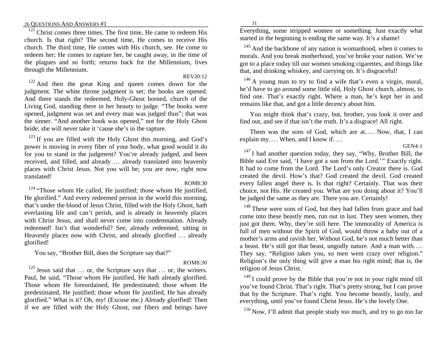$121$  Christ comes three times. The first time, He came to redeem His church. Is that right? The second time, He comes to receive His church. The third time, He comes with His church, see. He come to redeem her; He comes to rapture her, be caught away, in the time of the plagues and so forth; returns back for the Millennium, lives through the Millennium.

REV20:12

31

 $122$  And then the great King and queen comes down for the judgment. The white throne judgment is set; the books are opened. And there stands the redeemed, Holy-Ghost borned, church of the Living God, standing there in her beauty to judge. "The books were opened, judgment was set and every man was judged thus"; that was the sinner. "And another book was opened," not for the Holy Ghost bride; she will never take it 'cause she's in the rapture.

 $123$  If you are filled with the Holy Ghost this morning, and God's power is moving in every fiber of your body, what good would it do for you to stand in the judgment? You're already judged, and been received, and filled, and already ... already translated into heavenly places with Christ Jesus. Not you will be; you are now, right now translated!

# ROM8:30

 $124$  "Those whom He called. He justified; those whom He justified, He glorified." And every redeemed person in the world this morning, that's under the blood of Jesus Christ, filled with the Holy Ghost, hath everlasting life and can't perish, and is already in heavenly places with Christ Jesus, and shall never come into condemnation. Already redeemed! Isn't that wonderful? See, already redeemed, sitting in Heavenly places now with Christ, and already glorified ... already glorified!

You say, "Brother Bill, does the Scripture say that?"

# ROM8:30

 $125$  Jesus said that ... or, the Scripture says that ... or, the writers. Paul, he said, "Those whom He justified, He hath already glorified. Those whom He foreordained, He predestinated; those whom He predestinated, He justified; those whom He justified, He has already glorified." What is it? Oh, my! (Excuse me.) Already glorified! Then if we are filled with the Holy Ghost, our fibers and beings have Everything, some stripped women or something. Just exactly what started in the beginning is ending the same way. It's a shame!

<sup>145</sup> And the backbone of any nation is womanhood, when it comes to morals. And you break motherhood, you've broke your nation. We've got to a place today till our women smoking cigarettes, and things like that, and drinking whiskey, and carrying on. It's disgraceful!

 $146$  A young man to try to find a wife that's even a virgin, moral, he'd have to go around some little old, Holy Ghost church, almost, to find one. That's exactly right. Where a man, he's kept her in and remains like that, and got a little decency about him.

You might think that's crazy, but, brother, you look it over and find out, and see if that isn't the truth. It's a disgrace! All right.

Them was the sons of God, which are at.... Now, that, I can explain my.... When, and I know if....

GEN4:1

<sup>147</sup> I had another question today, they say, "Why, Brother Bill, the Bible said Eve said, 'I have got a son from the Lord.'" Exactly right. It had to come from the Lord. The Lord's only Creator there is. God created the devil. How's that? God created the devil. God created every fallen angel there is. Is that right? Certainly. That was their choice, not His. He created you. What are you doing about it? You'll be judged the same as they are. There you are. Certainly!

<sup>148</sup> These were sons of God, but they had fallen from grace and had come into these beastly men, run out in lust. They seen women, they just got them. Why, they're still here. The immorality of America is full of men without the Spirit of God, would throw a baby out of a mother's arms and ravish her. Without God, he's not much better than a beast. He's still got that beast, ungodly nature. And a man with.. . . They say, "Religion takes you, so men went crazy over religion." Religion's the only thing will give a man his right mind; that is, the religion of Jesus Christ.

 $149$  I could prove by the Bible that you're not in your right mind till you've found Christ. That's right. That's pretty strong, but I can prove that by the Scripture. That's right. You become beastly, lustly, and everything, until you've found Christ Jesus. He's the lovely One.

 $150$  Now, I'll admit that people study too much, and try to go too far

### 26 QUESTIONS AND ANSWERS #1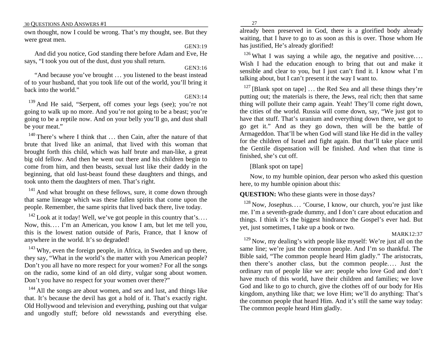own thought, now I could be wrong. That's my thought, see. But they were great men.

GEN3:19

And did you notice, God standing there before Adam and Eve, He says, "I took you out of the dust, dust you shall return.

### GEN3:16

"And because you've brought ... you listened to the beast instead of to your husband, that you took life out of the world, you'll bring it back into the world."

 $GEN3.14$ 

<sup>139</sup> And He said, "Serpent, off comes your legs (see); you're not going to walk up no more. And you're not going to be a beast; you're going to be a reptile now. And on your belly you'll go, and dust shall be your meat."

 $140$  There's where I think that ... then Cain, after the nature of that brute that lived like an animal, that lived with this woman that brought forth this child, which was half brute and man-like, a great big old fellow. And then he went out there and his children begin to come from him, and then beasts, sexual lust like their daddy in the beginning, that old lust-beast found these daughters and things, and took unto them the daughters of men. That's right.

 $141$  And what brought on these fellows, sure, it come down through that same lineage which was these fallen spirits that come upon the people. Remember, the same spirits that lived back there, live today.

 $142$  Look at it today! Well, we've got people in this country that's.... Now, this.... I'm an American, you know I am, but let me tell you, this is the lowest nation outside of Paris, France, that I know of anywhere in the world. It's so degraded!

 $143$  Why, even the foreign people, in Africa, in Sweden and up there, they say, "What in the world's the matter with you American people? Don't you all have no more respect for your women? For all the songs on the radio, some kind of an old dirty, vulgar song about women. Don't you have no respect for your women over there?"

<sup>144</sup> All the songs are about women, and sex and lust, and things like that. It's because the devil has got a hold of it. That's exactly right. Old Hollywood and television and everything, pushing out that vulgar and ungodly stuff; before old newsstands and everything else.

already been preserved in God, there is a glorified body already waiting, that I have to go to as soon as this is over. Those whom He has justified, He's already glorified!

 $126$  What I was saying a while ago, the negative and positive.... Wish I had the education enough to bring that out and make it sensible and clear to you, but I just can't find it. I know what I'm talking about, but I can't present it the way I want to.

 $127$  [Blank spot on tape] ... the Red Sea and all these things they're putting out; the materials is there, the Jews, real rich; then that same thing will pollute their camp again. Yeah! They'll come right down, the cities of the world. Russia will come down, say, "We just got to have that stuff. That's uranium and everything down there, we got to go get it." And as they go down, then will be the battle of Armageddon. That'll be when God will stand like He did in the valley for the children of Israel and fight again. But that'll take place until the Gentile dispensation will be finished. And when that time is finished, she's cut off.

[Blank spot on tape]

Now, to my humble opinion, dear person who asked this question here, to my humble opinion about this:

# **QUESTION:** Who these giants were in those days?

 $128$  Now, Josephus.... 'Course, I know, our church, you're just like me. I'm a seventh-grade dummy, and I don't care about education and things. I think it's the biggest hindrance the Gospel's ever had. But yet, just sometimes, I take up a book or two.

### MARK12:37

 $129$  Now, my dealing's with people like myself: We're just all on the same line; we're just the common people. And I'm so thankful. The Bible said, "The common people heard Him gladly." The aristocrats, then there's another class, but the common people.... Just the ordinary run of people like we are: people who love God and don't have much of this world, have their children and families; we love God and like to go to church, give the clothes off of our body for His kingdom, anything like that; we love Him; we'll do anything: That's the common people that heard Him. And it's still the same way today: The common people heard Him gladly.